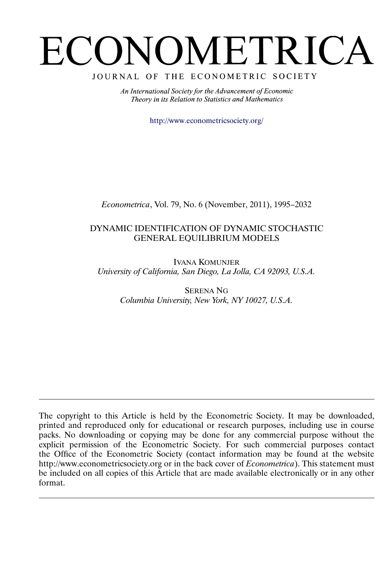# <span id="page-0-0"></span>ECONOMETRICA

## JOURNAL OF THE ECONOMETRIC SOCIETY

An International Society for the Advancement of Economic Theory in its Relation to Statistics and Mathematics

<http://www.econometricsociety.org/>

*Econometrica*, Vol. 79, No. 6 (November, 2011), 1995–2032

# DYNAMIC IDENTIFICATION OF DYNAMIC STOCHASTIC GENERAL EQUILIBRIUM MODELS

IVANA KOMUNJER *University of California, San Diego, La Jolla, CA 92093, U.S.A.*

> SERENA NG *Columbia University, New York, NY 10027, U.S.A.*

The copyright to this Article is held by the Econometric Society. It may be downloaded, printed and reproduced only for educational or research purposes, including use in course packs. No downloading or copying may be done for any commercial purpose without the explicit permission of the Econometric Society. For such commercial purposes contact the Office of the Econometric Society (contact information may be found at the website http://www.econometricsociety.org or in the back cover of *Econometrica*). This statement must be included on all copies of this Article that are made available electronically or in any other format.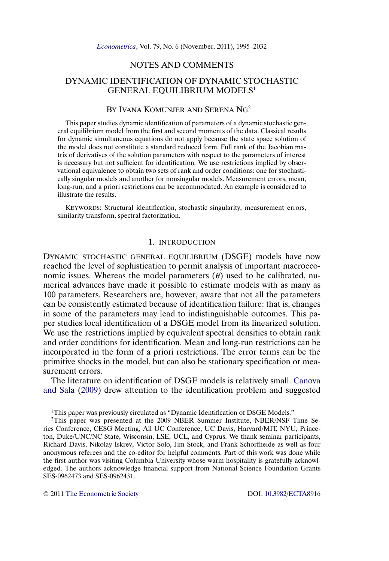## NOTES AND COMMENTS

## <span id="page-1-0"></span>DYNAMIC IDENTIFICATION OF DYNAMIC STOCHASTIC GENERAL EQUILIBRIUM MODELS<sup>1</sup>

## BY IVANA KOMUNJER AND SERENA NG2

This paper studies dynamic identification of parameters of a dynamic stochastic general equilibrium model from the first and second moments of the data. Classical results for dynamic simultaneous equations do not apply because the state space solution of the model does not constitute a standard reduced form. Full rank of the Jacobian matrix of derivatives of the solution parameters with respect to the parameters of interest is necessary but not sufficient for identification. We use restrictions implied by observational equivalence to obtain two sets of rank and order conditions: one for stochastically singular models and another for nonsingular models. Measurement errors, mean, long-run, and a priori restrictions can be accommodated. An example is considered to illustrate the results.

KEYWORDS: Structural identification, stochastic singularity, measurement errors, similarity transform, spectral factorization.

### 1. INTRODUCTION

DYNAMIC STOCHASTIC GENERAL EQUILIBRIUM (DSGE) models have now reached the level of sophistication to permit analysis of important macroeconomic issues. Whereas the model parameters (θ) used to be calibrated, numerical advances have made it possible to estimate models with as many as 100 parameters. Researchers are, however, aware that not all the parameters can be consistently estimated because of identification failure: that is, changes in some of the parameters may lead to indistinguishable outcomes. This paper studies local identification of a DSGE model from its linearized solution. We use the restrictions implied by equivalent spectral densities to obtain rank and order conditions for identification. Mean and long-run restrictions can be incorporated in the form of a priori restrictions. The error terms can be the primitive shocks in the model, but can also be stationary specification or measurement errors.

The literature on identification of DSGE models is relatively small. [Canova](#page-36-0) [and Sala](#page-36-0) [\(2009\)](#page-36-0) drew attention to the identification problem and suggested

<sup>1</sup>This paper was previously circulated as "Dynamic Identification of DSGE Models."

2This paper was presented at the 2009 NBER Summer Institute, NBER/NSF Time Series Conference, CESG Meeting, All UC Conference, UC Davis, Harvard/MIT, NYU, Princeton, Duke/UNC/NC State, Wisconsin, LSE, UCL, and Cyprus. We thank seminar participants, Richard Davis, Nikolay Iskrev, Victor Solo, Jim Stock, and Frank Schorfheide as well as four anonymous referees and the co-editor for helpful comments. Part of this work was done while the first author was visiting Columbia University whose warm hospitality is gratefully acknowledged. The authors acknowledge financial support from National Science Foundation Grants SES-0962473 and SES-0962431.

© 2011 [The Econometric Society](http://www.econometricsociety.org/) DOI: [10.3982/ECTA8916](http://dx.doi.org/10.3982/ECTA8916)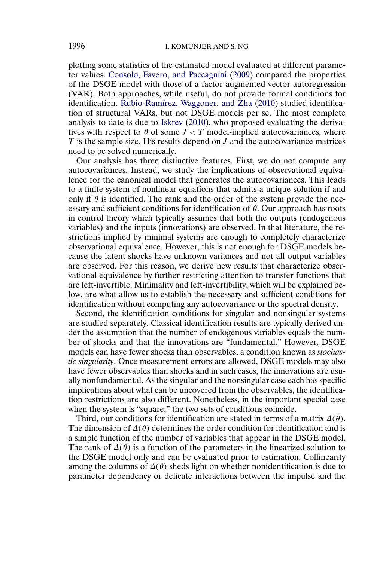<span id="page-2-0"></span>plotting some statistics of the estimated model evaluated at different parameter values. [Consolo, Favero, and Paccagnini](#page-36-0) [\(2009\)](#page-36-0) compared the properties of the DSGE model with those of a factor augmented vector autoregression (VAR). Both approaches, while useful, do not provide formal conditions for identification. [Rubio-Ramírez, Waggoner, and Zha](#page-38-0) [\(2010\)](#page-38-0) studied identification of structural VARs, but not DSGE models per se. The most complete analysis to date is due to [Iskrev](#page-37-0) [\(2010\)](#page-37-0), who proposed evaluating the derivatives with respect to  $\theta$  of some  $J < T$  model-implied autocovariances, where  $T$  is the sample size. His results depend on  $J$  and the autocovariance matrices need to be solved numerically.

Our analysis has three distinctive features. First, we do not compute any autocovariances. Instead, we study the implications of observational equivalence for the canonical model that generates the autocovariances. This leads to a finite system of nonlinear equations that admits a unique solution if and only if  $\theta$  is identified. The rank and the order of the system provide the necessary and sufficient conditions for identification of  $\theta$ . Our approach has roots in control theory which typically assumes that both the outputs (endogenous variables) and the inputs (innovations) are observed. In that literature, the restrictions implied by minimal systems are enough to completely characterize observational equivalence. However, this is not enough for DSGE models because the latent shocks have unknown variances and not all output variables are observed. For this reason, we derive new results that characterize observational equivalence by further restricting attention to transfer functions that are left-invertible. Minimality and left-invertibility, which will be explained below, are what allow us to establish the necessary and sufficient conditions for identification without computing any autocovariance or the spectral density.

Second, the identification conditions for singular and nonsingular systems are studied separately. Classical identification results are typically derived under the assumption that the number of endogenous variables equals the number of shocks and that the innovations are "fundamental." However, DSGE models can have fewer shocks than observables, a condition known as *stochastic singularity*. Once measurement errors are allowed, DSGE models may also have fewer observables than shocks and in such cases, the innovations are usually nonfundamental. As the singular and the nonsingular case each has specific implications about what can be uncovered from the observables, the identification restrictions are also different. Nonetheless, in the important special case when the system is "square," the two sets of conditions coincide.

Third, our conditions for identification are stated in terms of a matrix  $\Delta(\theta)$ . The dimension of  $\Delta(\theta)$  determines the order condition for identification and is a simple function of the number of variables that appear in the DSGE model. The rank of  $\Delta(\theta)$  is a function of the parameters in the linearized solution to the DSGE model only and can be evaluated prior to estimation. Collinearity among the columns of  $\Delta(\theta)$  sheds light on whether nonidentification is due to parameter dependency or delicate interactions between the impulse and the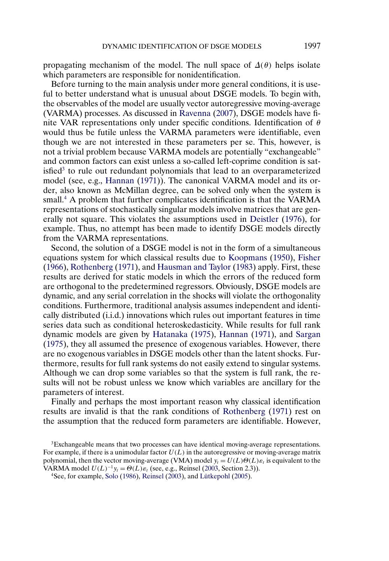<span id="page-3-0"></span>propagating mechanism of the model. The null space of  $\Delta(\theta)$  helps isolate which parameters are responsible for nonidentification.

Before turning to the main analysis under more general conditions, it is useful to better understand what is unusual about DSGE models. To begin with, the observables of the model are usually vector autoregressive moving-average (VARMA) processes. As discussed in [Ravenna](#page-38-0) [\(2007\)](#page-38-0), DSGE models have finite VAR representations only under specific conditions. Identification of  $\theta$ would thus be futile unless the VARMA parameters were identifiable, even though we are not interested in these parameters per se. This, however, is not a trivial problem because VARMA models are potentially "exchangeable" and common factors can exist unless a so-called left-coprime condition is satisfied<sup>3</sup> to rule out redundant polynomials that lead to an overparameterized model (see, e.g., [Hannan](#page-37-0) [\(1971\)](#page-37-0)). The canonical VARMA model and its order, also known as McMillan degree, can be solved only when the system is small.4 A problem that further complicates identification is that the VARMA representations of stochastically singular models involve matrices that are generally not square. This violates the assumptions used in [Deistler](#page-37-0) [\(1976\)](#page-37-0), for example. Thus, no attempt has been made to identify DSGE models directly from the VARMA representations.

Second, the solution of a DSGE model is not in the form of a simultaneous equations system for which classical results due to [Koopmans](#page-37-0) [\(1950\)](#page-37-0), [Fisher](#page-37-0) [\(1966\)](#page-37-0), [Rothenberg](#page-38-0) [\(1971\)](#page-38-0), and [Hausman and Taylor](#page-37-0) [\(1983\)](#page-37-0) apply. First, these results are derived for static models in which the errors of the reduced form are orthogonal to the predetermined regressors. Obviously, DSGE models are dynamic, and any serial correlation in the shocks will violate the orthogonality conditions. Furthermore, traditional analysis assumes independent and identically distributed (i.i.d.) innovations which rules out important features in time series data such as conditional heteroskedasticity. While results for full rank dynamic models are given by [Hatanaka](#page-37-0) [\(1975\)](#page-37-0), [Hannan](#page-37-0) [\(1971\)](#page-37-0), and [Sargan](#page-38-0) [\(1975\)](#page-38-0), they all assumed the presence of exogenous variables. However, there are no exogenous variables in DSGE models other than the latent shocks. Furthermore, results for full rank systems do not easily extend to singular systems. Although we can drop some variables so that the system is full rank, the results will not be robust unless we know which variables are ancillary for the parameters of interest.

Finally and perhaps the most important reason why classical identification results are invalid is that the rank conditions of [Rothenberg](#page-38-0) [\(1971\)](#page-38-0) rest on the assumption that the reduced form parameters are identifiable. However,

3Exchangeable means that two processes can have identical moving-average representations. For example, if there is a unimodular factor  $U(L)$  in the autoregressive or moving-average matrix polynomial, then the vector moving-average (VMA) model  $y_t = U(L)\Theta(L)\varepsilon_t$  is equivalent to the VARMA model  $U(L)^{-1}y_t = \Theta(L)\varepsilon_t$  (see, e.g., Reinsel [\(2003,](#page-38-0) Section 2.3)).

4See, for example, [Solo](#page-38-0) [\(1986\)](#page-38-0), [Reinsel](#page-38-0) [\(2003\)](#page-38-0), and [Lütkepohl](#page-37-0) [\(2005\)](#page-37-0).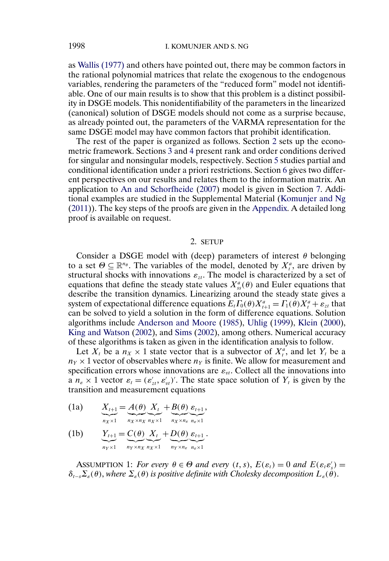as [Wallis \(1977\)](#page-38-0) and others have pointed out, there may be common factors in the rational polynomial matrices that relate the exogenous to the endogenous variables, rendering the parameters of the "reduced form" model not identifiable. One of our main results is to show that this problem is a distinct possibility in DSGE models. This nonidentifiability of the parameters in the linearized (canonical) solution of DSGE models should not come as a surprise because, as already pointed out, the parameters of the VARMA representation for the same DSGE model may have common factors that prohibit identification.

The rest of the paper is organized as follows. Section 2 sets up the econometric framework. Sections [3](#page-7-0) and [4](#page-13-0) present rank and order conditions derived for singular and nonsingular models, respectively. Section [5](#page-16-0) studies partial and conditional identification under a priori restrictions. Section [6](#page-18-0) gives two different perspectives on our results and relates them to the information matrix. An application to [An and Schorfheide](#page-36-0) [\(2007\)](#page-36-0) model is given in Section [7.](#page-21-0) Additional examples are studied in the Supplemental Material [\(Komunjer and Ng](#page-37-0) [\(2011\)](#page-37-0)). The key steps of the proofs are given in the [Appendix.](#page-26-0) A detailed long proof is available on request.

#### 2. SETUP

Consider a DSGE model with (deep) parameters of interest  $\theta$  belonging to a set  $\Theta \subseteq \mathbb{R}^{n_{\theta}}$ . The variables of the model, denoted by  $X_i^a$ , are driven by structural shocks with innovations  $\varepsilon_{zt}$ . The model is characterized by a set of equations that define the steady state values  $X_{ss}^a(\theta)$  and Euler equations that describe the transition dynamics. Linearizing around the steady state gives a system of expectational difference equations  $E_t \Gamma_0(\theta) X_{t+1}^a = \Gamma_1(\theta) X_t^a + \varepsilon_{zt}$  that can be solved to yield a solution in the form of difference equations. Solution algorithms include [Anderson and Moore](#page-36-0) [\(1985\)](#page-36-0), [Uhlig](#page-38-0) [\(1999\)](#page-38-0), [Klein](#page-37-0) [\(2000\)](#page-37-0), [King and Watson](#page-37-0) [\(2002\)](#page-37-0), and [Sims](#page-38-0) [\(2002\)](#page-38-0), among others. Numerical accuracy of these algorithms is taken as given in the identification analysis to follow.

Let  $X_t$  be a  $n_X \times 1$  state vector that is a subvector of  $X_t^a$ , and let  $Y_t$  be a  $n_Y \times 1$  vector of observables where  $n_Y$  is finite. We allow for measurement and specification errors whose innovations are  $\varepsilon_{vt}$ . Collect all the innovations into a  $n_{\varepsilon} \times 1$  vector  $\varepsilon_t = (\varepsilon'_{zt}, \varepsilon'_{vt})'$ . The state space solution of  $Y_t$  is given by the transition and measurement equations

- $X_{t+1}$  $\overline{n_X} \times 1$  $= A(\theta)$  $\overline{n_X} \times n_X$  $X_t$  $\sum_{n_X\times 1}$  $+ B(\theta)$  $\overline{n_X} \times n_{\varepsilon}$  $\varepsilon_{t+1}$  $n_{\varepsilon} \times 1$ (1a)  $X_{t+1} = A(\theta) X_t + B(\theta) \varepsilon_{t+1},$
- $Y_{t+1}$  $\sum_{n \le x \le 1}$  $=C(\theta)$  $\overline{n_Y \times n_X}$  $X_t$  $\sum_{n_X\times 1}$  $+ D(\theta)$  $\overline{n_Y \times n_{\varepsilon}}$  $\varepsilon_{t+1}$  $n_{\epsilon} \times 1$ (1b)  $Y_{t+1} = C(\theta) X_t + D(\theta) \varepsilon_{t+1}$ .

ASSUMPTION 1: *For every*  $\theta \in \Theta$  *and every*  $(t, s)$ ,  $E(\varepsilon_t) = 0$  *and*  $E(\varepsilon_t \varepsilon_s') =$  $\delta_{t-s}\Sigma_{\varepsilon}(\theta)$ , where  $\Sigma_{\varepsilon}(\theta)$  is positive definite with Cholesky decomposition  $L_{\varepsilon}(\theta)$ .

<span id="page-4-0"></span>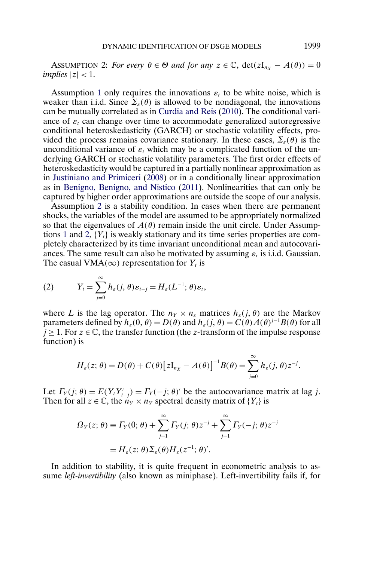<span id="page-5-0"></span>ASSUMPTION 2: *For every*  $\theta \in \Theta$  *and for any*  $z \in \mathbb{C}$ ,  $\det(zI_{n_x} - A(\theta)) = 0$ *implies*  $|z|$  < 1.

Assumption [1](#page-4-0) only requires the innovations  $\varepsilon_t$  to be white noise, which is weaker than i.i.d. Since  $\Sigma_{\varepsilon}(\theta)$  is allowed to be nondiagonal, the innovations can be mutually correlated as in [Curdia and Reis](#page-37-0) [\(2010\)](#page-37-0). The conditional variance of  $\varepsilon_t$  can change over time to accommodate generalized autoregressive conditional heteroskedasticity (GARCH) or stochastic volatility effects, provided the process remains covariance stationary. In these cases,  $\Sigma_{\varepsilon}(\theta)$  is the unconditional variance of  $\varepsilon_t$  which may be a complicated function of the underlying GARCH or stochastic volatility parameters. The first order effects of heteroskedasticity would be captured in a partially nonlinear approximation as in [Justiniano and Primiceri](#page-37-0) [\(2008\)](#page-37-0) or in a conditionally linear approximation as in [Benigno, Benigno, and Nistico](#page-36-0) [\(2011\)](#page-36-0). Nonlinearities that can only be captured by higher order approximations are outside the scope of our analysis.

Assumption 2 is a stability condition. In cases when there are permanent shocks, the variables of the model are assumed to be appropriately normalized so that the eigenvalues of  $A(\theta)$  remain inside the unit circle. Under Assump-tions [1](#page-4-0) and 2,  ${Y<sub>t</sub>}$  is weakly stationary and its time series properties are completely characterized by its time invariant unconditional mean and autocovariances. The same result can also be motivated by assuming  $\varepsilon_t$  is i.i.d. Gaussian. The casual VMA( $\infty$ ) representation for  $Y_t$  is

(2) 
$$
Y_t = \sum_{j=0}^{\infty} h_{\varepsilon}(j, \theta) \varepsilon_{t-j} = H_{\varepsilon}(L^{-1}; \theta) \varepsilon_t,
$$

where L is the lag operator. The  $n_Y \times n_{\varepsilon}$  matrices  $h_{\varepsilon}(j, \theta)$  are the Markov parameters defined by  $h_{\varepsilon}(0, \theta) = D(\theta)$  and  $h_{\varepsilon}(j, \theta) = C(\theta)A(\theta)^{j-1}B(\theta)$  for all  $j \geq 1$ . For  $z \in \mathbb{C}$ , the transfer function (the z-transform of the impulse response function) is

$$
H_{\varepsilon}(z;\theta) = D(\theta) + C(\theta) \big[zI_{n_X} - A(\theta)\big]^{-1}B(\theta) = \sum_{j=0}^{\infty} h_{\varepsilon}(j,\theta)z^{-j}.
$$

Let  $\Gamma_Y(j; \theta) = E(Y_t Y'_{t-j}) = \Gamma_Y(-j; \theta)'$  be the autocovariance matrix at lag j. Then for all  $z \in \mathbb{C}$ , the  $n_Y \times n_Y$  spectral density matrix of  $\{Y_t\}$  is

$$
\Omega_Y(z;\theta) \equiv \Gamma_Y(0;\theta) + \sum_{j=1}^{\infty} \Gamma_Y(j;\theta) z^{-j} + \sum_{j=1}^{\infty} \Gamma_Y(-j;\theta) z^{-j}
$$

$$
= H_{\varepsilon}(z;\theta) \Sigma_{\varepsilon}(\theta) H_{\varepsilon}(z^{-1};\theta').
$$

In addition to stability, it is quite frequent in econometric analysis to assume *left-invertibility* (also known as miniphase). Left-invertibility fails if, for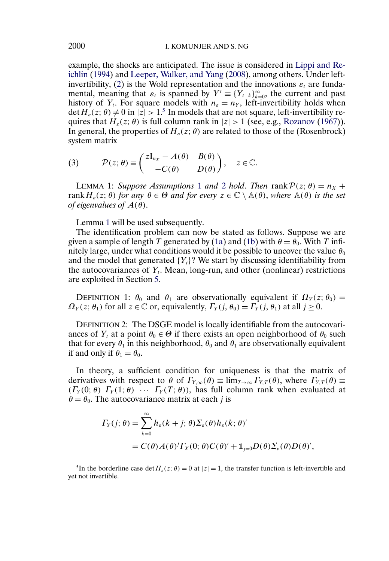example, the shocks are anticipated. The issue is considered in [Lippi and Re](#page-37-0)[ichlin](#page-37-0) [\(1994\)](#page-37-0) and [Leeper, Walker, and Yang](#page-37-0) [\(2008\)](#page-37-0), among others. Under left-invertibility, [\(2\)](#page-5-0) is the Wold representation and the innovations  $\varepsilon_t$  are fundamental, meaning that  $\varepsilon_t$  is spanned by  $Y^t \equiv \{Y_{t-k}\}_{k=0}^{\infty}$ , the current and past history of Y<sub>t</sub>. For square models with  $n_{\varepsilon} = n_Y$ , left-invertibility holds when  $\det H_{\varepsilon}(z;\theta) \neq 0$  in  $|z| > 1$ <sup>5</sup>. In models that are not square, left-invertibility requires that  $H_{\varepsilon}(z; \theta)$  is full column rank in  $|z| > 1$  (see, e.g., [Rozanov](#page-38-0) [\(1967\)](#page-38-0)). In general, the properties of  $H<sub>\varepsilon</sub>(z; \theta)$  are related to those of the (Rosenbrock) system matrix

(3) 
$$
\mathcal{P}(z; \theta) \equiv \begin{pmatrix} zI_{n_X} - A(\theta) & B(\theta) \\ -C(\theta) & D(\theta) \end{pmatrix}, \quad z \in \mathbb{C}.
$$

LEMMA [1](#page-4-0): *Suppose Assumptions* 1 *and* [2](#page-5-0) *hold*. *Then* rank  $P(z; \theta) = n_x +$ rank  $H_{\varepsilon}(z; \theta)$  *for any*  $\theta \in \Theta$  *and for every*  $z \in \mathbb{C} \setminus \mathbb{A}(\theta)$ *, where*  $\mathbb{A}(\theta)$  *is the set of eigenvalues of*  $A(\theta)$ .

Lemma 1 will be used subsequently.

The identification problem can now be stated as follows. Suppose we are given a sample of length T generated by [\(1a\)](#page-4-0) and [\(1b\)](#page-4-0) with  $\theta = \theta_0$ . With T infinitely large, under what conditions would it be possible to uncover the value  $\theta_0$ and the model that generated  ${Y<sub>t</sub>}$ ? We start by discussing identifiability from the autocovariances of  $Y_t$ . Mean, long-run, and other (nonlinear) restrictions are exploited in Section [5.](#page-16-0)

DEFINITION 1:  $\theta_0$  and  $\theta_1$  are observationally equivalent if  $\Omega_Y(z; \theta_0) =$  $\Omega_Y(z; \theta_1)$  for all  $z \in \mathbb{C}$  or, equivalently,  $\Gamma_Y(i, \theta_0) = \Gamma_Y(i, \theta_1)$  at all  $j \ge 0$ .

DEFINITION 2: The DSGE model is locally identifiable from the autocovariances of Y<sub>t</sub> at a point  $\theta_0 \in \Theta$  if there exists an open neighborhood of  $\theta_0$  such that for every  $\theta_1$  in this neighborhood,  $\theta_0$  and  $\theta_1$  are observationally equivalent if and only if  $\theta_1 = \theta_0$ .

In theory, a sufficient condition for uniqueness is that the matrix of derivatives with respect to  $\theta$  of  $\Gamma_{Y,\infty}(\theta) \equiv \lim_{T\to\infty} \Gamma_{Y,T}(\theta)$ , where  $\Gamma_{Y,T}(\theta) \equiv$  $(\Gamma_Y(0;\theta), \Gamma_Y(1;\theta)) \cdots \Gamma_Y(T;\theta)$ , has full column rank when evaluated at  $\theta = \theta_0$ . The autocovariance matrix at each j is

$$
\begin{aligned} \Gamma_Y(j;\,\theta) &= \sum_{k=0}^{\infty} h_{\varepsilon}(k+j;\,\theta) \Sigma_{\varepsilon}(\theta) h_{\varepsilon}(k;\,\theta)' \\ &= C(\theta) A(\theta)^j \Gamma_X(0;\,\theta) C(\theta)' + \mathbb{1}_{j=0} D(\theta) \Sigma_{\varepsilon}(\theta) D(\theta)', \end{aligned}
$$

<sup>5</sup>In the borderline case det  $H_{\varepsilon}(z; \theta) = 0$  at  $|z| = 1$ , the transfer function is left-invertible and yet not invertible.

<span id="page-6-0"></span>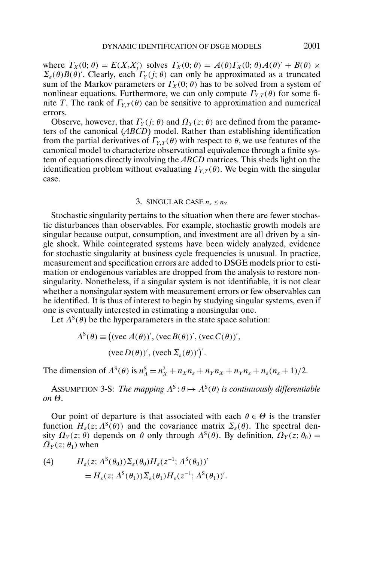<span id="page-7-0"></span>where  $\Gamma_X(0; \theta) = E(X_t X_t')$  solves  $\Gamma_X(0; \theta) = A(\theta) \Gamma_X(0; \theta) A(\theta)' + B(\theta) \times$  $\Sigma_{\varepsilon}(\theta)B(\theta)$ . Clearly, each  $\Gamma_Y(j;\theta)$  can only be approximated as a truncated sum of the Markov parameters or  $\Gamma_X(0; \theta)$  has to be solved from a system of nonlinear equations. Furthermore, we can only compute  $\Gamma_{Y,T}(\theta)$  for some finite T. The rank of  $\Gamma_{Y,T}(\theta)$  can be sensitive to approximation and numerical errors.

Observe, however, that  $\Gamma_Y(j; \theta)$  and  $\Omega_Y(z; \theta)$  are defined from the parameters of the canonical (*ABCD*) model. Rather than establishing identification from the partial derivatives of  $\Gamma_{Y,T}(\theta)$  with respect to  $\theta$ , we use features of the canonical model to characterize observational equivalence through a finite system of equations directly involving the *ABCD* matrices. This sheds light on the identification problem without evaluating  $\Gamma_{Y,T}(\theta)$ . We begin with the singular case.

#### 3. SINGULAR CASE  $n_e \leq n_Y$

Stochastic singularity pertains to the situation when there are fewer stochastic disturbances than observables. For example, stochastic growth models are singular because output, consumption, and investment are all driven by a single shock. While cointegrated systems have been widely analyzed, evidence for stochastic singularity at business cycle frequencies is unusual. In practice, measurement and specification errors are added to DSGE models prior to estimation or endogenous variables are dropped from the analysis to restore nonsingularity. Nonetheless, if a singular system is not identifiable, it is not clear whether a nonsingular system with measurement errors or few observables can be identified. It is thus of interest to begin by studying singular systems, even if one is eventually interested in estimating a nonsingular one.

Let  $\Lambda^{s}(\theta)$  be the hyperparameters in the state space solution:

$$
\Lambda^{S}(\theta) \equiv \big( (\text{vec}\,A(\theta))', (\text{vec}\,B(\theta))', (\text{vec}\,C(\theta))',
$$

$$
(\text{vec}\,D(\theta))', (\text{vec}\,\Sigma_{\varepsilon}(\theta))'\big)'
$$

The dimension of  $\Lambda^S(\theta)$  is  $n_A^S = n_X^2 + n_X n_{\varepsilon} + n_Y n_X + n_Y n_{\varepsilon} + n_{\varepsilon}(n_{\varepsilon} + 1)/2$ .

ASSUMPTION 3-S: *The mapping*  $\Lambda^s: \theta \mapsto \Lambda^s(\theta)$  *is continuously differentiable on* Θ.

Our point of departure is that associated with each  $\theta \in \Theta$  is the transfer function  $H_{\varepsilon}(z; \Lambda^{s}(\theta))$  and the covariance matrix  $\Sigma_{\varepsilon}(\theta)$ . The spectral density  $\Omega_Y(z;\theta)$  depends on  $\theta$  only through  $\Lambda^S(\theta)$ . By definition,  $\Omega_Y(z;\theta_0)$  =  $\Omega_Y(z;\theta_1)$  when

(4) 
$$
H_{\varepsilon}(z; \Lambda^{S}(\theta_{0}))\Sigma_{\varepsilon}(\theta_{0})H_{\varepsilon}(z^{-1}; \Lambda^{S}(\theta_{0}))'
$$

$$
=H_{\varepsilon}(z; \Lambda^{S}(\theta_{1}))\Sigma_{\varepsilon}(\theta_{1})H_{\varepsilon}(z^{-1}; \Lambda^{S}(\theta_{1}))'.
$$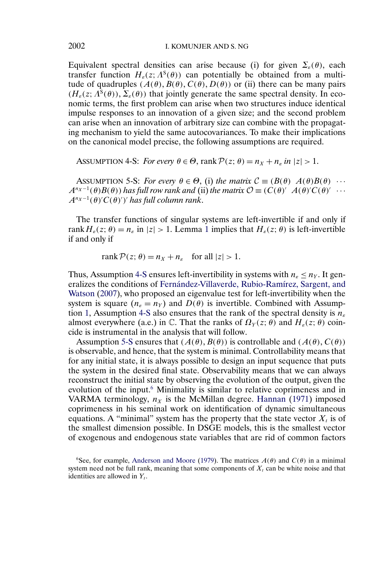<span id="page-8-0"></span>Equivalent spectral densities can arise because (i) for given  $\Sigma<sub>s</sub>(\theta)$ , each transfer function  $H_{{\varepsilon}}(z; \Lambda^{s}(\theta))$  can potentially be obtained from a multitude of quadruples  $(A(\theta), B(\theta), C(\theta), D(\theta))$  or (ii) there can be many pairs  $(H_{\varepsilon}(z; \Lambda^{s}(\theta)), \Sigma_{\varepsilon}(\theta))$  that jointly generate the same spectral density. In economic terms, the first problem can arise when two structures induce identical impulse responses to an innovation of a given size; and the second problem can arise when an innovation of arbitrary size can combine with the propagating mechanism to yield the same autocovariances. To make their implications on the canonical model precise, the following assumptions are required.

ASSUMPTION 4-S: *For every*  $\theta \in \Theta$ , rank  $\mathcal{P}(z; \theta) = n_X + n_{\varepsilon}$  *in*  $|z| > 1$ .

ASSUMPTION 5-S: *For every*  $\theta \in \Theta$ , (i) the matrix  $\mathcal{C} \equiv (B(\theta) \ A(\theta)B(\theta) \ \cdots$  $A^{n_X-1}(\theta)B(\theta)$  has full row rank and (ii) the matrix  $\mathcal{O} \equiv (C(\theta)^{\prime} A(\theta)^{\prime} C(\theta)^{\prime} \cdots$  $A^{n_X-1}(\theta)'C(\theta)')'$  has full column rank.

The transfer functions of singular systems are left-invertible if and only if rank  $H_{\varepsilon}(z; \theta) = n_{\varepsilon}$  in  $|z| > 1$  $|z| > 1$ . Lemma 1 implies that  $H_{\varepsilon}(z; \theta)$  is left-invertible if and only if

rank  $P(z; \theta) = n_x + n_{\epsilon}$  for all  $|z| > 1$ .

Thus, Assumption 4-S ensures left-invertibility in systems with  $n_{\epsilon} \leq n_Y$ . It generalizes the conditions of [Fernández-Villaverde, Rubio-Ramírez, Sargent, and](#page-37-0) [Watson](#page-37-0) [\(2007\)](#page-37-0), who proposed an eigenvalue test for left-invertibility when the system is square  $(n_{\epsilon} = n_Y)$  and  $D(\theta)$  is invertible. Combined with Assump-tion [1,](#page-4-0) Assumption 4-S also ensures that the rank of the spectral density is  $n_{\epsilon}$ almost everywhere (a.e.) in  $\mathbb C$ . That the ranks of  $\Omega_Y(z;\theta)$  and  $H_z(z;\theta)$  coincide is instrumental in the analysis that will follow.

Assumption 5-S ensures that  $(A(\theta), B(\theta))$  is controllable and  $(A(\theta), C(\theta))$ is observable, and hence, that the system is minimal. Controllability means that for any initial state, it is always possible to design an input sequence that puts the system in the desired final state. Observability means that we can always reconstruct the initial state by observing the evolution of the output, given the evolution of the input.<sup>6</sup> Minimality is similar to relative coprimeness and in VARMA terminology,  $n_X$  is the McMillan degree. [Hannan](#page-37-0) [\(1971\)](#page-37-0) imposed coprimeness in his seminal work on identification of dynamic simultaneous equations. A "minimal" system has the property that the state vector  $X_t$  is of the smallest dimension possible. In DSGE models, this is the smallest vector of exogenous and endogenous state variables that are rid of common factors

<sup>6</sup>See, for example, [Anderson and Moore](#page-36-0) [\(1979\)](#page-36-0). The matrices  $A(\theta)$  and  $C(\theta)$  in a minimal system need not be full rank, meaning that some components of  $X_t$  can be white noise and that identities are allowed in  $Y_t$ .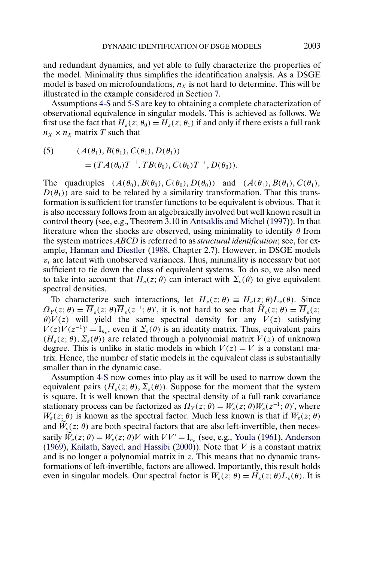<span id="page-9-0"></span>and redundant dynamics, and yet able to fully characterize the properties of the model. Minimality thus simplifies the identification analysis. As a DSGE model is based on microfoundations,  $n<sub>X</sub>$  is not hard to determine. This will be illustrated in the example considered in Section [7.](#page-21-0)

Assumptions [4-S](#page-8-0) and [5-S](#page-8-0) are key to obtaining a complete characterization of observational equivalence in singular models. This is achieved as follows. We first use the fact that  $H_e(z; \theta_0) = H_e(z; \theta_1)$  if and only if there exists a full rank  $n_X \times n_X$  matrix T such that

(5) 
$$
(A(\theta_1), B(\theta_1), C(\theta_1), D(\theta_1))
$$

$$
= (TA(\theta_0)T^{-1}, TB(\theta_0), C(\theta_0)T^{-1}, D(\theta_0)).
$$

The quadruples  $(A(\theta_0), B(\theta_0), C(\theta_0), D(\theta_0))$  and  $(A(\theta_1), B(\theta_1), C(\theta_1))$ ,  $D(\theta_1)$  are said to be related by a similarity transformation. That this transformation is sufficient for transfer functions to be equivalent is obvious. That it is also necessary follows from an algebraically involved but well known result in control theory (see, e.g., Theorem 3.10 in [Antsaklis and Michel](#page-36-0) [\(1997\)](#page-36-0)). In that literature when the shocks are observed, using minimality to identify  $\theta$  from the system matrices *ABCD* is referred to as *structural identification*; see, for example, [Hannan and Diestler](#page-37-0) [\(1988,](#page-37-0) Chapter 2.7). However, in DSGE models  $\varepsilon_t$  are latent with unobserved variances. Thus, minimality is necessary but not sufficient to tie down the class of equivalent systems. To do so, we also need to take into account that  $H_{\varepsilon}(z; \theta)$  can interact with  $\Sigma_{\varepsilon}(\theta)$  to give equivalent spectral densities.

To characterize such interactions, let  $\overline{H}_{\varepsilon}(z;\theta) \equiv H_{\varepsilon}(z;\theta)L_{\varepsilon}(\theta)$ . Since  $\Omega_Y(z;\theta) = \overline{H}_\varepsilon(z;\theta)\overline{H}_\varepsilon(z^{-1};\theta)'$ , it is not hard to see that  $\widetilde{H}_\varepsilon(z;\theta) = \overline{H}_\varepsilon(z;\theta)$  $\theta$ ) $V(z)$  will yield the same spectral density for any  $V(z)$  satisfying  $V(z)V(z^{-1})' = I_{n_{\varepsilon}}$ , even if  $\Sigma_{\varepsilon}(\theta)$  is an identity matrix. Thus, equivalent pairs  $(H<sub>\epsilon</sub>(z; \theta), \Sigma<sub>\epsilon</sub>(\theta))$  are related through a polynomial matrix  $V(z)$  of unknown degree. This is unlike in static models in which  $V(z) = V$  is a constant matrix. Hence, the number of static models in the equivalent class is substantially smaller than in the dynamic case.

Assumption [4-S](#page-8-0) now comes into play as it will be used to narrow down the equivalent pairs  $(H_{\varepsilon}(z; \theta), \Sigma_{\varepsilon}(\theta))$ . Suppose for the moment that the system is square. It is well known that the spectral density of a full rank covariance stationary process can be factorized as  $\Omega_Y(z; \theta) = W_{\varepsilon}(z; \theta)W_{\varepsilon}(z^{-1}; \theta)$ , where  $W<sub>\epsilon</sub>(z; \theta)$  is known as the spectral factor. Much less known is that if  $W<sub>\epsilon</sub>(z; \theta)$ and  $\widetilde{W}_e(z;\theta)$  are both spectral factors that are also left-invertible, then necessarily  $\widetilde{W}_\varepsilon(z;\theta) = W_\varepsilon(z;\theta)V$  with  $VV' = I_{n_\varepsilon}$  (see, e.g., [Youla](#page-38-0) [\(1961\)](#page-38-0), [Anderson](#page-36-0) [\(1969\)](#page-36-0), [Kailath, Sayed, and Hassibi](#page-37-0) [\(2000\)](#page-37-0)). Note that  $V$  is a constant matrix and is no longer a polynomial matrix in z. This means that no dynamic transformations of left-invertible, factors are allowed. Importantly, this result holds even in singular models. Our spectral factor is  $W_{\varepsilon}(z; \theta) = H_{\varepsilon}(z; \theta)L_{\varepsilon}(\theta)$ . It is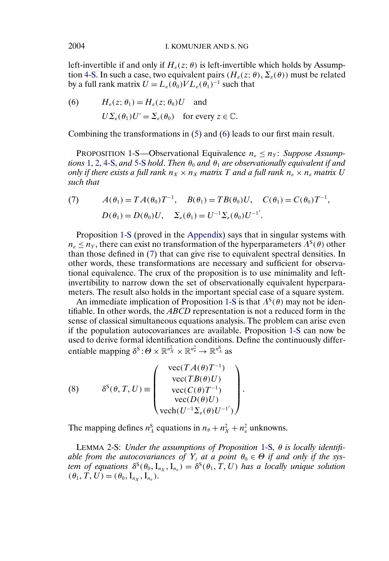left-invertible if and only if  $H<sub>\epsilon</sub>(z; \theta)$  is left-invertible which holds by Assump-tion [4-S.](#page-8-0) In such a case, two equivalent pairs  $(H_{\varepsilon}(z; \theta), \Sigma_{\varepsilon}(\theta))$  must be related by a full rank matrix  $U = L_{\epsilon}(\hat{\theta}_0) V L_{\epsilon}(\hat{\theta}_1)^{-1}$  such that

(6) 
$$
H_{\varepsilon}(z; \theta_1) = H_{\varepsilon}(z; \theta_0)U
$$
 and  
\n $U\Sigma_{\varepsilon}(\theta_1)U' = \Sigma_{\varepsilon}(\theta_0)$  for every  $z \in \mathbb{C}$ .

Combining the transformations in [\(5\)](#page-9-0) and (6) leads to our first main result.

PROPOSITION 1-S—Observational Equivalence  $n_{\epsilon} \leq n_{\gamma}$ : *Suppose Assumptions* [1,](#page-4-0) [2,](#page-5-0) [4-S,](#page-8-0) and [5-S](#page-8-0) *hold. Then*  $\theta_0$  *and*  $\theta_1$  *are observationally equivalent if and only if there exists a full rank*  $n_X \times n_X$  *matrix* T *and a full rank*  $n_{\varepsilon} \times n_{\varepsilon}$  *matrix* U *such that*

(7) 
$$
A(\theta_1) = TA(\theta_0)T^{-1}, \quad B(\theta_1) = TB(\theta_0)U, \quad C(\theta_1) = C(\theta_0)T^{-1},
$$

$$
D(\theta_1) = D(\theta_0)U, \quad \Sigma_{\varepsilon}(\theta_1) = U^{-1}\Sigma_{\varepsilon}(\theta_0)U^{-1}.
$$

Proposition 1-S (proved in the [Appendix\)](#page-26-0) says that in singular systems with  $n_{\varepsilon} \leq n_{\varepsilon}$ , there can exist no transformation of the hyperparameters  $\Lambda^{S}(\theta)$  other than those defined in (7) that can give rise to equivalent spectral densities. In other words, these transformations are necessary and sufficient for observational equivalence. The crux of the proposition is to use minimality and leftinvertibility to narrow down the set of observationally equivalent hyperparameters. The result also holds in the important special case of a square system.

An immediate implication of Proposition 1-S is that  $\Lambda^{S}(\theta)$  may not be identifiable. In other words, the *ABCD* representation is not a reduced form in the sense of classical simultaneous equations analysis. The problem can arise even if the population autocovariances are available. Proposition 1-S can now be used to derive formal identification conditions. Define the continuously differentiable mapping  $\delta^S: \Theta \times \mathbb{R}^{n_X^2} \times \mathbb{R}^{n_{\epsilon}^2} \to \mathbb{R}^{n_A^S}$  as

(8) 
$$
\delta^{S}(\theta, T, U) \equiv \begin{pmatrix} \text{vec}(TA(\theta)T^{-1}) \\ \text{vec}(TB(\theta)U) \\ \text{vec}(C(\theta)T^{-1}) \\ \text{vec}(D(\theta)U) \\ \text{vech}(U^{-1}\Sigma_{\varepsilon}(\theta)U^{-1'}) \end{pmatrix}.
$$

The mapping defines  $n_A^S$  equations in  $n_{\theta} + n_X^2 + n_{\epsilon}^2$  unknowns.

LEMMA 2-S: *Under the assumptions of Proposition* 1-S, θ *is locally identifi*able from the autocovariances of  $Y_t$  at a point  $\theta_0 \in \Theta$  if and only if the sys*tem of equations*  $\delta^{S}(\theta_0, I_{n_X}, I_{n_E}) = \delta^{S}(\theta_1, T, U)$  *has a locally unique solution*  $(\theta_1, T, U) = (\theta_0, I_{n_X}, I_{n_E}).$ 

<span id="page-10-0"></span>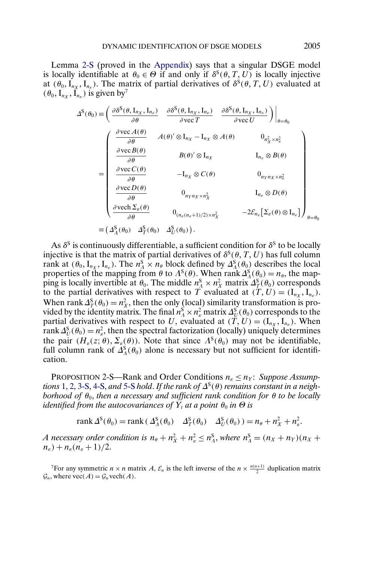<span id="page-11-0"></span>Lemma [2-S](#page-10-0) (proved in the [Appendix\)](#page-26-0) says that a singular DSGE model is locally identifiable at  $\theta_0 \in \Theta$  if and only if  $\delta^S(\theta, T, U)$  is locally injective at  $(\theta_0, I_{n_x}, I_{n_x})$ . The matrix of partial derivatives of  $\delta^S(\theta, T, U)$  evaluated at  $(\theta_0, I_{nx}, I_{nz})$  is given by<sup>7</sup>

$$
\Delta^{S}(\theta_{0}) = \left(\frac{\partial \delta^{S}(\theta, I_{n_{X}}, I_{n_{\varepsilon}})}{\partial \theta} - \frac{\partial \delta^{S}(\theta, I_{n_{X}}, I_{n_{\varepsilon}})}{\partial \text{ vec } T} - \frac{\partial \delta^{S}(\theta, I_{n_{X}}, I_{n_{\varepsilon}})}{\partial \text{ vec } U}\right)\Big|_{\theta = \theta_{0}}
$$
\n
$$
= \left(\begin{array}{ccc} \frac{\partial \text{vec} A(\theta)}{\partial \theta} & A(\theta)^{\prime} \otimes I_{n_{X}} - I_{n_{X}} \otimes A(\theta) & 0_{n_{X}^{2} \times n_{\varepsilon}^{2}} \\ \frac{\partial \text{vec} B(\theta)}{\partial \theta} & B(\theta)^{\prime} \otimes I_{n_{X}} & I_{n_{\varepsilon}} \otimes B(\theta) \\ \frac{\partial \text{vec} C(\theta)}{\partial \theta} & -I_{n_{X}} \otimes C(\theta) & 0_{n_{Y}n_{X} \times n_{\varepsilon}^{2}} \\ \frac{\partial \text{vec} D(\theta)}{\partial \theta} & 0_{n_{Y}n_{X} \times n_{X}^{2}} & I_{n_{\varepsilon}} \otimes D(\theta) \\ \frac{\partial \text{vec} D(\theta)}{\partial \theta} & 0_{(n_{\varepsilon}(n_{\varepsilon}+1)/2) \times n_{X}^{2}} & -2\mathcal{E}_{n_{\varepsilon}}\big[\Sigma_{\varepsilon}(\theta) \otimes I_{n_{\varepsilon}}\big]\right)_{\theta = \theta_{0}}
$$
\n
$$
\equiv \left(\Delta_{A}^{S}(\theta_{0}) - \Delta_{T}^{S}(\theta_{0}) - \Delta_{U}^{S}(\theta_{0})\right).
$$

As  $\delta^s$  is continuously differentiable, a sufficient condition for  $\delta^s$  to be locally injective is that the matrix of partial derivatives of  $\delta^s(\theta, T, U)$  has full column rank at  $(\theta_0, I_{n_X}, I_{n_E})$ . The  $n_A^S \times n_\theta$  block defined by  $\Delta_A^S(\theta_0)$  describes the local properties of the mapping from  $\theta$  to  $\Lambda^{S}(\theta)$ . When rank  $\Delta_{\Lambda}^{S}(\theta_0) = n_{\theta}$ , the mapping is locally invertible at  $\theta_0$ . The middle  $n_A^S \times n_X^2$  matrix  $\Delta_T^S(\theta_0)$  corresponds to the partial derivatives with respect to T evaluated at  $(T, U) = (I_{n_X}, I_{n_E}).$ When rank  $\Delta_T^S(\theta_0) = n_X^2$ , then the only (local) similarity transformation is provided by the identity matrix. The final  $n_\Lambda^S \times n_e^2$  matrix  $\varDelta_U^S(\theta_0)$  corresponds to the partial derivatives with respect to U, evaluated at  $(\tilde{T}, U) = (I_{n_x}, I_{n_e})$ . When rank  $\Delta_U^S(\theta_0) = n_e^2$ , then the spectral factorization (locally) uniquely determines the pair  $(H_{\varepsilon}(z; \theta), \Sigma_{\varepsilon}(\theta))$ . Note that since  $\Lambda^{S}(\theta_{0})$  may not be identifiable, full column rank of  $\Delta_A^S(\theta_0)$  alone is necessary but not sufficient for identification.

PROPOSITION 2-S—Rank and Order Conditions  $n_{\epsilon} \leq n_Y$ : *Suppose Assumptions* [1,](#page-4-0) [2,](#page-5-0) [3-S,](#page-7-0) [4-S,](#page-8-0) *and* [5-S](#page-8-0) *hold. If the rank of*  $\Delta^{S}(\theta)$  *remains constant in a neighborhood of*  $\theta_0$ , *then a necessary and sufficient rank condition for*  $\theta$  *to be locally identified from the autocovariances of*  $Y_t$  *at a point*  $\theta_0$  *in*  $\Theta$  *is* 

rank  $\Delta^{\rm S}(\theta_0)$  = rank  $(\Delta^{\rm S}_{\Lambda}(\theta_0)$   $\Delta^{\rm S}_{T}(\theta_0)$   $\Delta^{\rm S}_{U}(\theta_0)$   $)$  =  $n_{\theta}$  +  $n_{X}^2$  +  $n_{\varepsilon}^2$ .

*A* necessary order condition is  $n_{\theta} + n_X^2 + n_{\epsilon}^2 \leq n_{\Lambda}^S$ , where  $n_{\Lambda}^S = (n_X + n_Y)(n_X + n_Y)$  $n_{\epsilon}$ ) +  $n_{\epsilon}$ ( $n_{\epsilon}$  + 1)/2.

<sup>7</sup>For any symmetric  $n \times n$  matrix A,  $\mathcal{E}_n$  is the left inverse of the  $n \times \frac{n(n+1)}{2}$  duplication matrix  $\mathcal{G}_n$ , where  $\text{vec}(A) = \mathcal{G}_n \text{vech}(A)$ .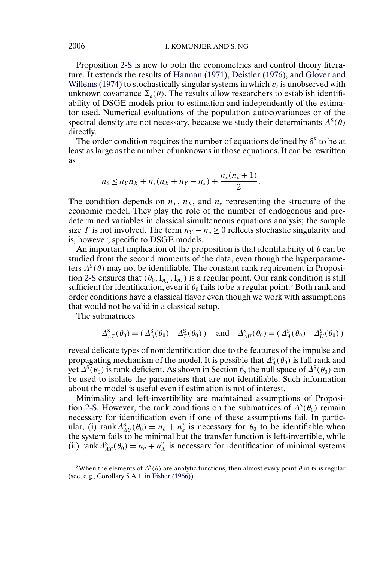<span id="page-12-0"></span>Proposition [2-S](#page-11-0) is new to both the econometrics and control theory literature. It extends the results of [Hannan](#page-37-0) [\(1971\)](#page-37-0), [Deistler](#page-37-0) [\(1976\)](#page-37-0), and [Glover and](#page-37-0) [Willems](#page-37-0) [\(1974\)](#page-37-0) to stochastically singular systems in which  $\varepsilon_t$  is unobserved with unknown covariance  $\Sigma_{\varepsilon}(\theta)$ . The results allow researchers to establish identifiability of DSGE models prior to estimation and independently of the estimator used. Numerical evaluations of the population autocovariances or of the spectral density are not necessary, because we study their determinants  $\Lambda^{S}(\theta)$ directly.

The order condition requires the number of equations defined by  $\delta^s$  to be at least as large as the number of unknowns in those equations. It can be rewritten as

$$
n_{\theta} \leq n_Y n_X + n_{\varepsilon}(n_X + n_Y - n_{\varepsilon}) + \frac{n_{\varepsilon}(n_{\varepsilon} + 1)}{2}.
$$

The condition depends on  $n_Y$ ,  $n_X$ , and  $n_\varepsilon$  representing the structure of the economic model. They play the role of the number of endogenous and predetermined variables in classical simultaneous equations analysis; the sample size T is not involved. The term  $n_Y - n_\varepsilon \geq 0$  reflects stochastic singularity and is, however, specific to DSGE models.

An important implication of the proposition is that identifiability of  $\theta$  can be studied from the second moments of the data, even though the hyperparameters  $\Lambda^{S}(\theta)$  may not be identifiable. The constant rank requirement in Proposi-tion [2-S](#page-11-0) ensures that  $(\theta_0, I_{n_x}, I_{n_x})$  is a regular point. Our rank condition is still sufficient for identification, even if  $\theta_0$  fails to be a regular point.<sup>8</sup> Both rank and order conditions have a classical flavor even though we work with assumptions that would not be valid in a classical setup.

The submatrices

$$
\Delta_{AT}^S(\theta_0) = (\Delta_A^S(\theta_0) \quad \Delta_T^S(\theta_0)) \quad \text{and} \quad \Delta_{AU}^S(\theta_0) = (\Delta_A^S(\theta_0) \quad \Delta_U^S(\theta_0))
$$

reveal delicate types of nonidentification due to the features of the impulse and propagating mechanism of the model. It is possible that  $\Delta_A^S(\theta_0)$  is full rank and yet  $\Delta^{S}(\theta_0)$  is rank deficient. As shown in Section [6,](#page-18-0) the null space of  $\Delta^{S}(\theta_0)$  can be used to isolate the parameters that are not identifiable. Such information about the model is useful even if estimation is not of interest.

Minimality and left-invertibility are maintained assumptions of Proposi-tion [2-S.](#page-11-0) However, the rank conditions on the submatrices of  $\Delta^{S}(\theta_0)$  remain necessary for identification even if one of these assumptions fail. In particular, (i) rank  $\Delta_{AU}^S(\theta_0) = n_\theta + n_\varepsilon^2$  is necessary for  $\theta_0$  to be identifiable when the system fails to be minimal but the transfer function is left-invertible, while (ii) rank  $\Delta_{AT}^S(\theta_0) = n_\theta + n_X^2$  is necessary for identification of minimal systems

<sup>8</sup>When the elements of  $\Delta^{S}(\theta)$  are analytic functions, then almost every point  $\theta$  in  $\Theta$  is regular (see, e.g., Corollary 5.A.1. in [Fisher](#page-37-0) [\(1966\)](#page-37-0)).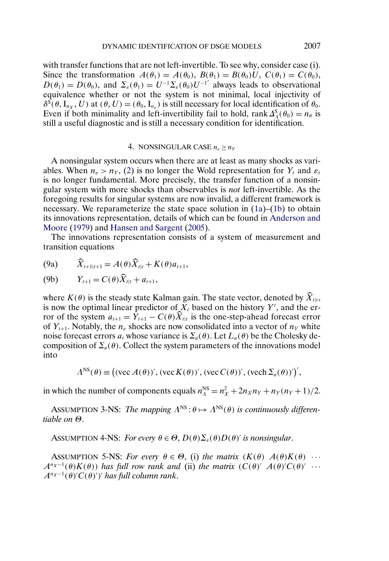<span id="page-13-0"></span>with transfer functions that are not left-invertible. To see why, consider case (i). Since the transformation  $A(\theta_1) = A(\theta_0)$ ,  $B(\theta_1) = B(\theta_0)U$ ,  $C(\theta_1) = C(\theta_0)$ ,  $D(\theta_1) = D(\theta_0)$ , and  $\Sigma_{\varepsilon}(\theta_1) = U^{-1} \Sigma_{\varepsilon}(\theta_0) U^{-1}$  always leads to observational equivalence whether or not the system is not minimal, local injectivity of  $\delta^{\vec{S}}(\theta, I_{n_x}, U)$  at  $(\theta, U) = (\theta_0, I_{n_s})$  is still necessary for local identification of  $\theta_0$ . Even if both minimality and left-invertibility fail to hold, rank  $\Delta_A^S(\theta_0) = n_\theta$  is still a useful diagnostic and is still a necessary condition for identification.

#### 4. NONSINGULAR CASE  $n_{\varepsilon} \ge n_Y$

A nonsingular system occurs when there are at least as many shocks as variables. When  $n_e > n_Y$ , [\(2\)](#page-5-0) is no longer the Wold representation for Y<sub>t</sub> and  $\varepsilon_t$ is no longer fundamental. More precisely, the transfer function of a nonsingular system with more shocks than observables is *not* left-invertible. As the foregoing results for singular systems are now invalid, a different framework is necessary. We reparameterize the state space solution in [\(1a\)](#page-4-0)–[\(1b\)](#page-4-0) to obtain its innovations representation, details of which can be found in [Anderson and](#page-36-0) [Moore](#page-36-0) [\(1979\)](#page-36-0) and [Hansen and Sargent](#page-37-0) [\(2005\)](#page-37-0).

The innovations representation consists of a system of measurement and transition equations

(9a) 
$$
\widehat{X}_{t+1|t+1} = A(\theta)\widehat{X}_{t|t} + K(\theta)a_{t+1},
$$

(9b) 
$$
Y_{t+1} = C(\theta) \tilde{X}_{t|t} + a_{t+1},
$$

where  $K(\theta)$  is the steady state Kalman gain. The state vector, denoted by  $\widehat{X}_{t|t}$ , is now the optimal linear predictor of  $X_t$  based on the history  $Y^t$ , and the error of the system  $a_{t+1} = \hat{Y}_{t+1} - C(\theta)\hat{X}_{t|t}$  is the one-step-ahead forecast error of  $Y_{t+1}$ . Notably, the  $n_{\varepsilon}$  shocks are now consolidated into a vector of  $n_{\gamma}$  white noise forecast errors  $a_t$  whose variance is  $\Sigma_a(\theta)$ . Let  $L_a(\theta)$  be the Cholesky decomposition of  $\Sigma_a(\theta)$ . Collect the system parameters of the innovations model into

$$
\Lambda^{\text{NS}}(\theta) \equiv \big( (\text{vec } A(\theta))', (\text{vec } K(\theta))', (\text{vec } C(\theta))', (\text{vec } \Sigma_a(\theta))' \big),
$$

in which the number of components equals  $n_{A}^{NS} = n_{X}^{2} + 2n_{X}n_{Y} + n_{Y}(n_{Y} + 1)/2$ .

ASSUMPTION 3-NS: *The mapping*  $\Lambda^{NS}$ :  $\theta \mapsto \Lambda^{NS}(\theta)$  *is continuously differentiable on* Θ.

ASSUMPTION 4-NS: *For every*  $\theta \in \Theta$ ,  $D(\theta) \Sigma_{\varepsilon}(\theta) D(\theta)$ ' *is nonsingular*.

ASSUMPTION 5-NS: *For every*  $\theta \in \Theta$ , (i) the matrix  $(K(\theta) A(\theta)K(\theta) \cdots$  $A^{n_X-1}(\theta)K(\theta)$  *has full row rank and* (ii) *the matrix*  $(C(\theta)' A(\theta)'C(\theta)' \cdots$  $A^{n_X-1}(\theta)'C(\theta)')'$  has full column rank.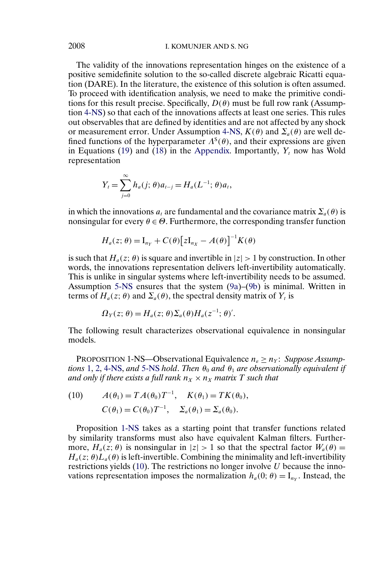## <span id="page-14-0"></span>2008 I. KOMUNJER AND S. NG

The validity of the innovations representation hinges on the existence of a positive semidefinite solution to the so-called discrete algebraic Ricatti equation (DARE). In the literature, the existence of this solution is often assumed. To proceed with identification analysis, we need to make the primitive conditions for this result precise. Specifically,  $D(\theta)$  must be full row rank (Assumption [4-NS\)](#page-13-0) so that each of the innovations affects at least one series. This rules out observables that are defined by identities and are not affected by any shock or measurement error. Under Assumption [4-NS,](#page-13-0)  $K(\theta)$  and  $\Sigma_a(\theta)$  are well defined functions of the hyperparameter  $\Lambda^s(\theta)$ , and their expressions are given in Equations [\(19\)](#page-32-0) and [\(18\)](#page-32-0) in the [Appendix.](#page-26-0) Importantly,  $Y_t$  now has Wold representation

$$
Y_t = \sum_{j=0}^{\infty} h_a(j; \theta) a_{t-j} = H_a(L^{-1}; \theta) a_t,
$$

in which the innovations  $a_t$  are fundamental and the covariance matrix  $\Sigma_a(\theta)$  is nonsingular for every  $\theta \in \Theta$ . Furthermore, the corresponding transfer function

$$
H_a(z; \theta) = I_{n_Y} + C(\theta) \big[ z I_{n_X} - A(\theta) \big]^{-1} K(\theta)
$$

is such that  $H_a(z; \theta)$  is square and invertible in  $|z| > 1$  by construction. In other words, the innovations representation delivers left-invertibility automatically. This is unlike in singular systems where left-invertibility needs to be assumed. Assumption [5-NS](#page-13-0) ensures that the system [\(9a\)](#page-13-0)–[\(9b\)](#page-13-0) is minimal. Written in terms of  $H_a(z; \theta)$  and  $\Sigma_a(\theta)$ , the spectral density matrix of  $Y_t$  is

$$
\Omega_Y(z;\theta) = H_a(z;\theta) \Sigma_a(\theta) H_a(z^{-1};\theta)'
$$

The following result characterizes observational equivalence in nonsingular models.

PROPOSITION 1-NS—Observational Equivalence  $n_{\varepsilon} \ge n_Y$ : *Suppose Assumptions* [1,](#page-4-0) [2,](#page-5-0) [4-NS,](#page-13-0) and [5-NS](#page-13-0) *hold. Then*  $\theta_0$  *and*  $\theta_1$  *are observationally equivalent if and only if there exists a full rank*  $n_X \times n_X$  *matrix* T *such that* 

(10) 
$$
A(\theta_1) = TA(\theta_0)T^{-1}
$$
,  $K(\theta_1) = TK(\theta_0)$ ,  
\n $C(\theta_1) = C(\theta_0)T^{-1}$ ,  $\Sigma_a(\theta_1) = \Sigma_a(\theta_0)$ .

Proposition 1-NS takes as a starting point that transfer functions related by similarity transforms must also have equivalent Kalman filters. Furthermore,  $H_a(z; \theta)$  is nonsingular in  $|z| > 1$  so that the spectral factor  $W_a(\theta) =$  $H_a(z; \theta)L_a(\theta)$  is left-invertible. Combining the minimality and left-invertibility restrictions yields  $(10)$ . The restrictions no longer involve U because the innovations representation imposes the normalization  $h_a(0; \theta) = I_{nv}$ . Instead, the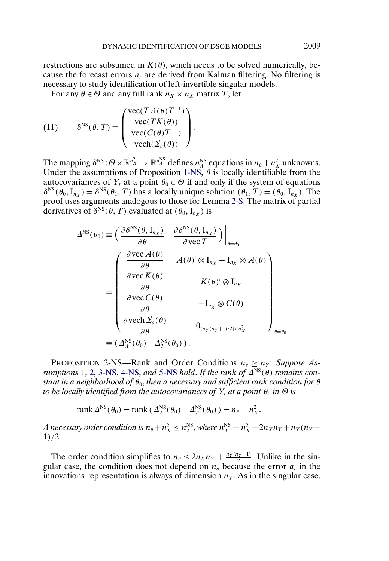<span id="page-15-0"></span>restrictions are subsumed in  $K(\theta)$ , which needs to be solved numerically, because the forecast errors  $a_t$  are derived from Kalman filtering. No filtering is necessary to study identification of left-invertible singular models.

For any  $\theta \in \Theta$  and any full rank  $n_X \times n_X$  matrix T, let

(11) 
$$
\delta^{NS}(\theta, T) \equiv \begin{pmatrix} \text{vec}(TA(\theta)T^{-1}) \\ \text{vec}(TK(\theta)) \\ \text{vec}(C(\theta)T^{-1}) \\ \text{vec}(\Sigma_a(\theta)) \end{pmatrix}.
$$

The mapping  $\delta^{NS}$ :  $\Theta \times \mathbb{R}^{n_X^2} \to \mathbb{R}^{n_X^{NS}}$  defines  $n_A^{NS}$  equations in  $n_\theta + n_X^2$  unknowns. Under the assumptions of Proposition [1-NS,](#page-14-0)  $\theta$  is locally identifiable from the autocovariances of  $Y_t$  at a point  $\theta_0 \in \Theta$  if and only if the system of equations  $\delta^{NS}(\theta_0, I_{n_x}) = \delta^{NS}(\theta_1, T)$  has a locally unique solution  $(\theta_1, T) = (\theta_0, I_{n_x})$ . The proof uses arguments analogous to those for Lemma [2-S.](#page-10-0) The matrix of partial derivatives of  $\delta^{NS}(\theta, T)$  evaluated at  $(\theta_0, I_{n_X})$  is

$$
\Delta^{\text{NS}}(\theta_{0}) \equiv \left(\frac{\partial \delta^{\text{NS}}(\theta, I_{n_{X}})}{\partial \theta} \quad \frac{\partial \delta^{\text{NS}}(\theta, I_{n_{X}})}{\partial \text{vec } T}\right)\Big|_{\theta = \theta_{0}}
$$

$$
= \left(\begin{array}{cc} \frac{\partial \text{vec } A(\theta)}{\partial \theta} & A(\theta)^{\prime} \otimes I_{n_{X}} - I_{n_{X}} \otimes A(\theta) \\ \frac{\partial \text{vec } K(\theta)}{\partial \theta} & K(\theta)^{\prime} \otimes I_{n_{X}} \\ \frac{\partial \text{vec } K(\theta)}{\partial \theta} & -I_{n_{X}} \otimes C(\theta) \\ \frac{\partial \text{vec } C(\theta)}{\partial \theta} & -I_{n_{X}} \otimes C(\theta) \\ \frac{\partial \text{vec } \Delta_{a}(\theta)}{\partial \theta} & 0_{(n_{Y}(n_{Y}+1)/2) \times n_{X}^{2}} \end{array}\right)_{\theta = \theta_{0}}
$$

$$
\equiv (\Delta^{\text{NS}}_{A}(\theta_{0}) - \Delta^{\text{NS}}_{T}(\theta_{0})).
$$

PROPOSITION 2-NS—Rank and Order Conditions  $n_{\epsilon} \ge n_Y$ : *Suppose Assumptions* [1,](#page-4-0) [2,](#page-5-0) [3-NS,](#page-13-0) [4-NS,](#page-13-0) *and* [5-NS](#page-13-0) *hold. If the rank of*  $\Delta^{NS}(\theta)$  *remains constant in a neighborhood of*  $\theta_0$ , *then a necessary and sufficient rank condition for*  $\theta$ *to be locally identified from the autocovariances of*  $Y_t$  *at a point*  $\theta_0$  *in*  $\Theta$  *is* 

rank  $\Delta^{\text{NS}}(\theta_0) = \text{rank}\left(\Delta^{\text{NS}}_A(\theta_0) - \Delta^{\text{NS}}_T(\theta_0)\right) = n_\theta + n_X^2.$ 

*A* necessary order condition is  $n_\theta + n_X^2 \le n_A^{\text{NS}}$ , where  $n_A^{\text{NS}} = n_X^2 + 2n_X n_Y + n_Y (n_Y + n_Y)$ 1)/2.

The order condition simplifies to  $n_\theta \leq 2n_X n_Y + \frac{n_Y(n_Y+1)}{2}$ . Unlike in the singular case, the condition does not depend on  $n_{\varepsilon}$  because the error  $a_t$  in the innovations representation is always of dimension  $n<sub>Y</sub>$ . As in the singular case,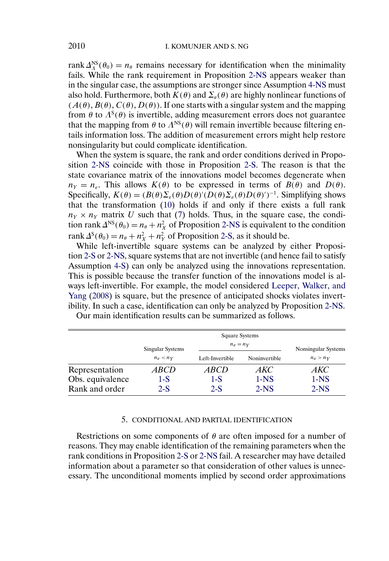rank  $\Delta_A^{NS}(\theta_0) = n_\theta$  remains necessary for identification when the minimality fails. While the rank requirement in Proposition [2-NS](#page-15-0) appears weaker than in the singular case, the assumptions are stronger since Assumption [4-NS](#page-13-0) must also hold. Furthermore, both  $K(\theta)$  and  $\Sigma_a(\theta)$  are highly nonlinear functions of  $(A(\theta), B(\theta), C(\theta), D(\theta))$ . If one starts with a singular system and the mapping from  $\theta$  to  $\Lambda^s(\theta)$  is invertible, adding measurement errors does not guarantee that the mapping from  $\theta$  to  $\Lambda^{NS}(\theta)$  will remain invertible because filtering entails information loss. The addition of measurement errors might help restore nonsingularity but could complicate identification.

When the system is square, the rank and order conditions derived in Proposition [2-NS](#page-15-0) coincide with those in Proposition [2-S.](#page-11-0) The reason is that the state covariance matrix of the innovations model becomes degenerate when  $n_Y = n_{\varepsilon}$ . This allows  $K(\theta)$  to be expressed in terms of  $B(\theta)$  and  $D(\theta)$ . Specifically,  $K(\theta) = (B(\theta) \Sigma_{\varepsilon}(\theta) D(\theta)' (D(\theta) \Sigma_{\varepsilon}(\theta) D(\theta)')^{-1}$ . Simplifying shows that the transformation [\(10\)](#page-14-0) holds if and only if there exists a full rank  $n_Y \times n_Y$  matrix U such that [\(7\)](#page-10-0) holds. Thus, in the square case, the condition rank  $\Delta^{NS}(\theta_0) = n_\theta + n_X^2$  of Proposition [2-NS](#page-15-0) is equivalent to the condition rank  $\Delta^{S}(\theta_0) = n_{\theta} + n_X^2 + n_Y^2$  of Proposition [2-S,](#page-11-0) as it should be.

While left-invertible square systems can be analyzed by either Proposition [2-S](#page-11-0) or [2-NS,](#page-15-0) square systems that are not invertible (and hence fail to satisfy Assumption [4-S\)](#page-8-0) can only be analyzed using the innovations representation. This is possible because the transfer function of the innovations model is always left-invertible. For example, the model considered [Leeper, Walker, and](#page-37-0) [Yang](#page-37-0) [\(2008\)](#page-37-0) is square, but the presence of anticipated shocks violates invertibility. In such a case, identification can only be analyzed by Proposition [2-NS.](#page-15-0)

|                  |                           | <b>Square Systems</b>     |                     |                         |  |  |  |  |
|------------------|---------------------------|---------------------------|---------------------|-------------------------|--|--|--|--|
|                  | Singular Systems          | $n_{\varepsilon} = n_{Y}$ | Nonsingular Systems |                         |  |  |  |  |
|                  | $n_{\rm g}$ < $n_{\rm Y}$ | Left-Invertible           | Noninvertible       | $n_{\rm g} > n_{\rm Y}$ |  |  |  |  |
| Representation   | <i>ABCD</i>               | <i>ABCD</i>               | AKC                 | AKC                     |  |  |  |  |
| Obs. equivalence | 1-S                       | 1-S                       | $1-NS$              | $1-NS$                  |  |  |  |  |
| Rank and order   | $2-S$                     | $2-S$                     | $2-NS$              | $2-NS$                  |  |  |  |  |

Our main identification results can be summarized as follows.

## 5. CONDITIONAL AND PARTIAL IDENTIFICATION

Restrictions on some components of  $\theta$  are often imposed for a number of reasons. They may enable identification of the remaining parameters when the rank conditions in Proposition [2-S](#page-11-0) or [2-NS](#page-15-0) fail. A researcher may have detailed information about a parameter so that consideration of other values is unnecessary. The unconditional moments implied by second order approximations

<span id="page-16-0"></span>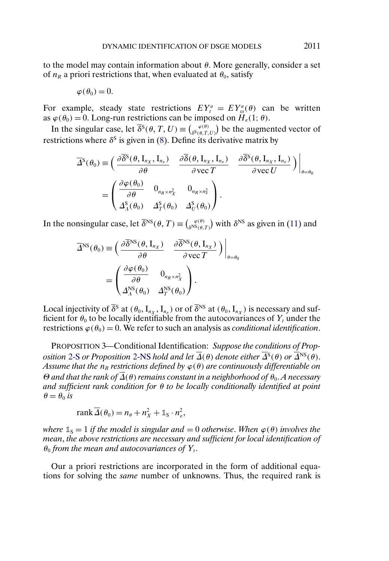<span id="page-17-0"></span>to the model may contain information about  $\theta$ . More generally, consider a set of  $n_R$  a priori restrictions that, when evaluated at  $\theta_0$ , satisfy

$$
\varphi(\theta_0)=0.
$$

For example, steady state restrictions  $EY_t^a = EY_{ss}^a(\theta)$  can be written as  $\varphi(\theta_0) = 0$ . Long-run restrictions can be imposed on  $H_{\varepsilon}(1;\theta)$ .

In the singular case, let  $\overline{\delta}^{S}(\theta, T, U) \equiv \binom{\varphi(\theta)}{\delta^{S}(\theta, T, U)}$  be the augmented vector of restrictions where  $\delta^s$  is given in [\(8\)](#page-10-0). Define its derivative matrix by

$$
\overline{\Delta}^{\mathcal{S}}(\theta_{0}) \equiv \left( \frac{\partial \overline{\delta}^{\mathcal{S}}(\theta, \mathbf{I}_{n_{X}}, \mathbf{I}_{n_{\varepsilon}})}{\partial \theta} \right) \frac{\partial \overline{\delta}(\theta, \mathbf{I}_{n_{X}}, \mathbf{I}_{n_{\varepsilon}})}{\partial \text{vec } T} \frac{\partial \overline{\delta}^{\mathcal{S}}(\theta, \mathbf{I}_{n_{X}}, \mathbf{I}_{n_{\varepsilon}})}{\partial \text{vec } U} \right) \Big|_{\theta = \theta_{0}}
$$
\n
$$
= \left( \frac{\partial \varphi(\theta_{0})}{\partial \theta} \quad 0_{n_{R} \times n_{X}^{2}} \quad 0_{n_{R} \times n_{\varepsilon}^{2}} \right) .
$$

In the nonsingular case, let  $\overline{\delta}^{NS}(\theta, T) \equiv \binom{\varphi(\theta)}{\delta^{NS}(\theta, T)}$  with  $\delta^{NS}$  as given in [\(11\)](#page-15-0) and

$$
\overline{\Delta}^{\text{NS}}(\theta_0) \equiv \left( \frac{\partial \overline{\delta}^{\text{NS}}(\theta, \mathbf{I}_{n_X})}{\partial \theta} \quad \frac{\partial \overline{\delta}^{\text{NS}}(\theta, \mathbf{I}_{n_X})}{\partial \text{vec } T} \right) \Big|_{\theta = \theta_0}
$$

$$
= \left( \frac{\partial \varphi(\theta_0)}{\partial \theta} \quad 0_{n_R \times n_X^2} \right).
$$

Local injectivity of  $\overline{\delta}^s$  at  $(\theta_0, I_{nx}, I_{n_s})$  or of  $\overline{\delta}^{NS}$  at  $(\theta_0, I_{nx})$  is necessary and sufficient for  $\theta_0$  to be locally identifiable from the autocovariances of  $Y_t$  under the restrictions  $\varphi(\theta_0) = 0$ . We refer to such an analysis as *conditional identification*.

PROPOSITION 3—Conditional Identification: *Suppose the conditions of Proposition* [2-S](#page-11-0) *or Proposition* [2-NS](#page-15-0) *hold and let*  $\overline{\Delta}(\theta)$  *denote either*  $\overline{\Delta}^S(\theta)$  *or*  $\overline{\Delta}^{NS}(\theta)$ *. Assume that the*  $n_R$  *restrictions defined by*  $\varphi(\theta)$  *are continuously differentiable on*  $\Theta$  *and that the rank of*  $\overline{\Delta}(\theta)$  *remains constant in a neighborhood of*  $\theta_0$ *. A necessary and sufficient rank condition for* θ *to be locally conditionally identified at point*  $\theta = \theta_0$  *is* 

$$
rank \overline{\Delta}(\theta_0) = n_{\theta} + n_X^2 + \mathbb{1}_S \cdot n_{\varepsilon}^2,
$$

*where*  $\mathbb{1}_S = 1$  *if the model is singular and*  $= 0$  *otherwise. When*  $\varphi(\theta)$  *involves the mean*, *the above restrictions are necessary and sufficient for local identification of*  $\theta_0$  *from the mean and autocovariances of*  $Y_t$ .

Our a priori restrictions are incorporated in the form of additional equations for solving the *same* number of unknowns. Thus, the required rank is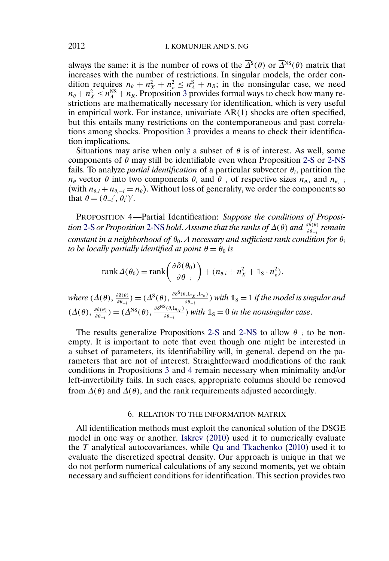<span id="page-18-0"></span>always the same: it is the number of rows of the  $\overline{\Delta}^S(\theta)$  or  $\overline{\Delta}^{NS}(\theta)$  matrix that increases with the number of restrictions. In singular models, the order condition requires  $n_{\theta} + n_X^2 + n_{\epsilon}^2 \leq n_A^S + n_R$ ; in the nonsingular case, we need  $n_{\theta} + n_X^2 \le n_A^{NS} + n_R$ . Proposition [3](#page-17-0) provides formal ways to check how many restrictions are mathematically necessary for identification, which is very useful in empirical work. For instance, univariate AR(1) shocks are often specified, but this entails many restrictions on the contemporaneous and past correlations among shocks. Proposition [3](#page-17-0) provides a means to check their identification implications.

Situations may arise when only a subset of  $\theta$  is of interest. As well, some components of  $\theta$  may still be identifiable even when Proposition [2-S](#page-11-0) or [2-NS](#page-15-0) fails. To analyze *partial identification* of a particular subvector  $\theta_i$ , partition the  $n_{\theta}$  vector  $\theta$  into two components  $\theta_i$  and  $\theta_{-i}$  of respective sizes  $n_{\theta,i}$  and  $n_{\theta,-i}$ (with  $n_{\theta,i} + n_{\theta,-i} = n_{\theta}$ ). Without loss of generality, we order the components so that  $\theta = (\theta_{-i}^{\prime}, \theta_i^{\prime})^{\prime}$ .

PROPOSITION 4—Partial Identification: *Suppose the conditions of Proposi-tion [2-S](#page-11-0) or Proposition [2-NS](#page-15-0) hold. Assume that the ranks of Δ(θ) and*  $\frac{\partial \delta(\theta)}{\partial \theta_{-i}}$  *remain constant in a neighborhood of*  $\theta_0$ . *A necessary and sufficient rank condition for*  $\theta_i$ *to be locally partially identified at point*  $\theta = \theta_0$  *is* 

$$
rank \Delta(\theta_0) = rank \left( \frac{\partial \delta(\theta_0)}{\partial \theta_{-i}} \right) + (n_{\theta,i} + n_X^2 + \mathbb{1}_S \cdot n_\varepsilon^2),
$$

*where*  $(\Delta(\theta), \frac{\partial \delta(\theta)}{\partial \theta_{-i}}) = (\Delta^S(\theta), \frac{\partial \delta^S(\theta, I_{n_X}, I_{n_E})}{\partial \theta_{-i}})$  *with*  $\mathbb{1}_S = 1$  *if the model is singular and*  $(\Delta(\theta), \frac{\partial \delta(\theta)}{\partial \theta_{-i}}) = (\Delta^{NS}(\theta), \frac{\partial \delta^{NS}(\theta, I_{n_X})}{\partial \theta_{-i}})$  with  $\mathbb{1}_S = 0$  in the nonsingular case.

The results generalize Propositions [2-S](#page-11-0) and [2-NS](#page-15-0) to allow  $\theta_{-i}$  to be nonempty. It is important to note that even though one might be interested in a subset of parameters, its identifiability will, in general, depend on the parameters that are not of interest. Straightforward modifications of the rank conditions in Propositions [3](#page-17-0) and 4 remain necessary when minimality and/or left-invertibility fails. In such cases, appropriate columns should be removed from  $\Delta(\theta)$  and  $\Delta(\theta)$ , and the rank requirements adjusted accordingly.

#### 6. RELATION TO THE INFORMATION MATRIX

All identification methods must exploit the canonical solution of the DSGE model in one way or another. [Iskrev](#page-37-0) [\(2010\)](#page-37-0) used it to numerically evaluate the  $T$  analytical autocovariances, while [Qu and Tkachenko](#page-37-0) [\(2010\)](#page-37-0) used it to evaluate the discretized spectral density. Our approach is unique in that we do not perform numerical calculations of any second moments, yet we obtain necessary and sufficient conditions for identification. This section provides two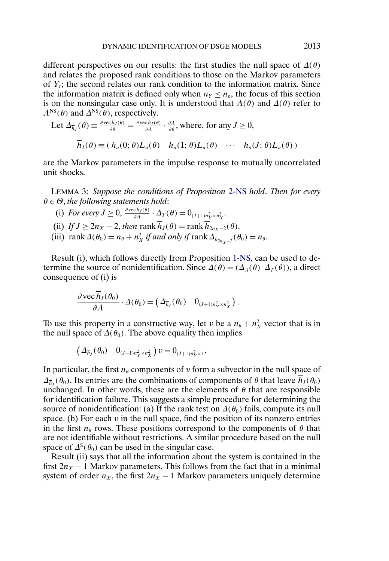<span id="page-19-0"></span>different perspectives on our results: the first studies the null space of  $\Delta(\theta)$ and relates the proposed rank conditions to those on the Markov parameters of  $Y_t$ ; the second relates our rank condition to the information matrix. Since the information matrix is defined only when  $n_Y \leq n_{\epsilon}$ , the focus of this section is on the nonsingular case only. It is understood that  $\Lambda(\theta)$  and  $\Delta(\theta)$  refer to  $\Lambda^{NS}(\theta)$  and  $\Delta^{NS}(\theta)$ , respectively.

Let 
$$
\Delta_{\overline{h}_J}(\theta) \equiv \frac{\partial \text{vec} \overline{h}_J(\theta)}{\partial \theta} = \frac{\partial \text{vec} \overline{h}_J(\theta)}{\partial \Lambda} \cdot \frac{\partial \Lambda}{\partial \theta}
$$
, where, for any  $J \ge 0$ ,  
 $\overline{h}_J(\theta) \equiv (h_a(0; \theta) L_a(\theta) \quad h_a(1; \theta) L_a(\theta) \quad \cdots \quad h_a(J; \theta) L_a(\theta))$ 

are the Markov parameters in the impulse response to mutually uncorrelated unit shocks.

LEMMA 3: *Suppose the conditions of Proposition* [2-NS](#page-15-0) *hold*. *Then for every* θ ∈ Θ, *the following statements hold*:

- (i) *For every*  $J \geq 0$ ,  $\frac{\partial \text{vec} h_J(\theta)}{\partial \Lambda} \cdot \Delta_T(\theta) = 0_{(J+1)n_Y^2 \times n_X^2}$ .
- (ii) *If*  $J \geq 2n_X 2$ , *then* rank  $\overline{h}_J(\theta) = \text{rank}\overline{h}_{2n_X 2}(\theta)$ .
- (iii)  $\text{rank}\,\Delta(\theta_0) = n_\theta + n_X^2 \text{ if and only if } \text{rank}\,\Delta_{\overline{h}_{2n_X-2}}(\theta_0) = n_\theta.$

Result (i), which follows directly from Proposition [1-NS,](#page-14-0) can be used to determine the source of nonidentification. Since  $\Delta(\theta) = (\Delta_A(\theta) \ \Delta_T(\theta))$ , a direct consequence of (i) is

$$
\frac{\partial \text{vec} h_J(\theta_0)}{\partial \Lambda} \cdot \Delta(\theta_0) = \left( \Delta_{\overline{h}_J}(\theta_0) \quad 0_{(J+1)n_Y^2 \times n_X^2} \right).
$$

To use this property in a constructive way, let v be a  $n_{\theta} + n_X^2$  vector that is in the null space of  $\Delta(\theta_0)$ . The above equality then implies

$$
\left(\varDelta_{\overline{h}_J}(\theta_0) \quad 0_{(J+1)n_Y^2 \times n_X^2}\right) v = 0_{(J+1)n_Y^2 \times 1}.
$$

In particular, the first  $n_{\theta}$  components of v form a subvector in the null space of  $\Delta_{\bar{h}_1}(\theta_0)$ . Its entries are the combinations of components of  $\theta$  that leave  $h_J(\theta_0)$ unchanged. In other words, these are the elements of  $\theta$  that are responsible for identification failure. This suggests a simple procedure for determining the source of nonidentification: (a) If the rank test on  $\Delta(\theta_0)$  fails, compute its null space. (b) For each  $v$  in the null space, find the position of its nonzero entries in the first  $n_{\theta}$  rows. These positions correspond to the components of  $\theta$  that are not identifiable without restrictions. A similar procedure based on the null space of  $\Delta^{s}(\theta_0)$  can be used in the singular case.

Result (ii) says that all the information about the system is contained in the first  $2n<sub>X</sub> - 1$  Markov parameters. This follows from the fact that in a minimal system of order  $n_X$ , the first  $2n_X - 1$  Markov parameters uniquely determine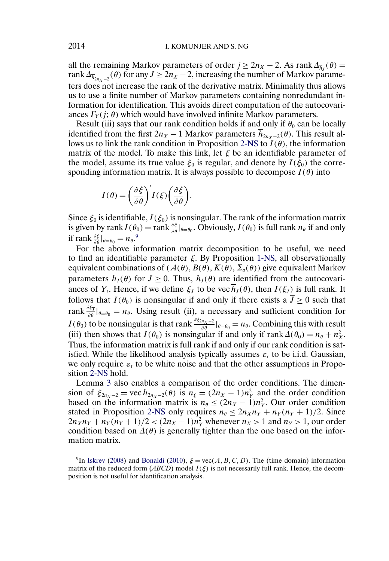<span id="page-20-0"></span>all the remaining Markov parameters of order  $j \geq 2n_X - 2$ . As rank  $\Delta_{\overline{h}_I}(\theta) =$ rank  $\Delta_{\overline{h}_{2n_X-2}}(\theta)$  for any  $J \ge 2n_X - 2$ , increasing the number of Markov parameters does not increase the rank of the derivative matrix. Minimality thus allows us to use a finite number of Markov parameters containing nonredundant information for identification. This avoids direct computation of the autocovariances  $\Gamma_Y(j; \theta)$  which would have involved infinite Markov parameters.

Result (iii) says that our rank condition holds if and only if  $\theta_0$  can be locally identified from the first  $2n_X - 1$  Markov parameters  $\overline{h}_{2n_Y-2}(\theta)$ . This result al-lows us to link the rank condition in Proposition [2-NS](#page-15-0) to  $I(\theta)$ , the information matrix of the model. To make this link, let  $\xi$  be an identifiable parameter of the model, assume its true value  $\xi_0$  is regular, and denote by  $I(\xi_0)$  the corresponding information matrix. It is always possible to decompose  $I(\theta)$  into

$$
I(\theta) = \left(\frac{\partial \xi}{\partial \theta}\right)' I(\xi) \left(\frac{\partial \xi}{\partial \theta}\right).
$$

Since  $\xi_0$  is identifiable,  $I(\xi_0)$  is nonsingular. The rank of the information matrix is given by rank  $I(\theta_0) = \text{rank} \frac{\partial \xi}{\partial \theta}|_{\theta=\theta_0}$ . Obviously,  $I(\theta_0)$  is full rank  $n_\theta$  if and only if rank  $\frac{\partial \xi}{\partial \theta}|_{\theta=\theta_0} = n_{\theta}$ .<sup>9</sup>

For the above information matrix decomposition to be useful, we need to find an identifiable parameter  $\xi$ . By Proposition [1-NS,](#page-14-0) all observationally equivalent combinations of  $(A(\theta), B(\theta), K(\theta), \Sigma_a(\theta))$  give equivalent Markov parameters  $\overline{h}_J(\theta)$  for  $J \geq 0$ . Thus,  $\overline{h}_J(\theta)$  are identified from the autocovariances of  $Y_t$ . Hence, if we define  $\xi_I$  to be vec  $\overline{h}_I(\theta)$ , then  $I(\xi_I)$  is full rank. It follows that  $I(\theta_0)$  is nonsingular if and only if there exists a  $\overline{J} \ge 0$  such that rank  $\frac{\partial \xi_{\overline{j}}}{\partial \theta} |_{\theta=\theta_0} = n_\theta$ . Using result (ii), a necessary and sufficient condition for  $I(\theta_0)$  to be nonsingular is that rank  $\frac{\partial \xi_{2n_X-2}}{\partial \theta}|_{\theta=\theta_0} = n_\theta$ . Combining this with result (iii) then shows that  $I(\theta_0)$  is nonsingular if and only if rank  $\Delta(\theta_0) = n_\theta + n_X^2$ . Thus, the information matrix is full rank if and only if our rank condition is satisfied. While the likelihood analysis typically assumes  $\varepsilon_t$  to be i.i.d. Gaussian, we only require  $\varepsilon_t$  to be white noise and that the other assumptions in Proposition [2-NS](#page-15-0) hold.

Lemma [3](#page-19-0) also enables a comparison of the order conditions. The dimension of  $\xi_{2n_X-2} = \text{vec } h_{2n_X-2}(\theta)$  is  $n_{\xi} = (2n_X - 1)n_Y^2$  and the order condition based on the information matrix is  $n_{\theta} \leq (2n_X - 1)n_Y^2$ . Our order condition stated in Proposition [2-NS](#page-15-0) only requires  $n_{\theta} \leq 2n_{X}n_{Y} + n_{Y}(n_{Y} + 1)/2$ . Since  $2n_X n_Y + n_Y (n_Y + 1)/2 < (2n_X - 1)n_Y^2$  whenever  $n_X > 1$  and  $n_Y > 1$ , our order condition based on  $\Delta(\theta)$  is generally tighter than the one based on the information matrix.

<sup>9</sup>In [Iskrev](#page-37-0) [\(2008\)](#page-37-0) and [Bonaldi](#page-36-0) [\(2010\)](#page-36-0),  $\xi = \text{vec}(A, B, C, D)$ . The (time domain) information matrix of the reduced form (*ABCD*) model  $I(\xi)$  is not necessarily full rank. Hence, the decomposition is not useful for identification analysis.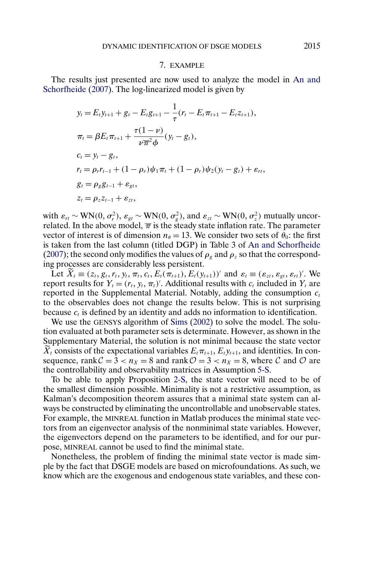#### 7. EXAMPLE

<span id="page-21-0"></span>The results just presented are now used to analyze the model in [An and](#page-36-0) [Schorfheide](#page-36-0) [\(2007\)](#page-36-0). The log-linearized model is given by

$$
y_t = E_t y_{t+1} + g_t - E_t g_{t+1} - \frac{1}{\tau} (r_t - E_t \pi_{t+1} - E_t z_{t+1}),
$$
  
\n
$$
\pi_t = \beta E_t \pi_{t+1} + \frac{\tau (1 - \nu)}{\nu \overline{\pi}^2 \phi} (y_t - g_t),
$$
  
\n
$$
c_t = y_t - g_t,
$$
  
\n
$$
r_t = \rho_r r_{t-1} + (1 - \rho_r) \psi_1 \pi_t + (1 - \rho_r) \psi_2 (y_t - g_t) + \varepsilon_{rt},
$$
  
\n
$$
g_t = \rho_g g_{t-1} + \varepsilon_{gt},
$$
  
\n
$$
z_t = \rho_z z_{t-1} + \varepsilon_{zt},
$$

with  $\varepsilon_{rt} \sim \text{WN}(0, \sigma_r^2)$ ,  $\varepsilon_{gt} \sim \text{WN}(0, \sigma_g^2)$ , and  $\varepsilon_{zt} \sim \text{WN}(0, \sigma_z^2)$  mutually uncorrelated. In the above model,  $\overline{\pi}$  is the steady state inflation rate. The parameter vector of interest is of dimension  $n_{\theta} = 13$ . We consider two sets of  $\theta_0$ : the first is taken from the last column (titled DGP) in Table 3 of [An and Schorfheide](#page-36-0) [\(2007\)](#page-36-0); the second only modifies the values of  $\rho<sub>g</sub>$  and  $\rho<sub>z</sub>$  so that the corresponding processes are considerably less persistent.

Let  $\overline{X}_t \equiv (z_t, g_t, r_t, y_t, \pi_t, c_t, E_t(\pi_{t+1}), E_t(y_{t+1}))'$  and  $\varepsilon_t \equiv (\varepsilon_{zt}, \varepsilon_{gt}, \varepsilon_{rt})'$ . We report results for  $Y_t = (r_t, y_t, \pi_t)'$ . Additional results with  $c_t$  included in  $Y_t$  are reported in the Supplemental Material. Notably, adding the consumption  $c_t$ to the observables does not change the results below. This is not surprising because  $c_t$  is defined by an identity and adds no information to identification.

We use the GENSYS algorithm of [Sims](#page-38-0) [\(2002\)](#page-38-0) to solve the model. The solution evaluated at both parameter sets is determinate. However, as shown in the Supplementary Material, the solution is not minimal because the state vector  $X_t$  consists of the expectational variables  $E_t \pi_{t+1}$ ,  $E_t y_{t+1}$ , and identities. In consequence, rank  $C = 3 < n_X = 8$  and rank  $\mathcal{O} = 3 < n_X = 8$ , where C and O are the controllability and observability matrices in Assumption [5-S.](#page-8-0)

To be able to apply Proposition [2-S,](#page-11-0) the state vector will need to be of the smallest dimension possible. Minimality is not a restrictive assumption, as Kalman's decomposition theorem assures that a minimal state system can always be constructed by eliminating the uncontrollable and unobservable states. For example, the MINREAL function in Matlab produces the minimal state vectors from an eigenvector analysis of the nonminimal state variables. However, the eigenvectors depend on the parameters to be identified, and for our purpose, MINREAL cannot be used to find the minimal state.

Nonetheless, the problem of finding the minimal state vector is made simple by the fact that DSGE models are based on microfoundations. As such, we know which are the exogenous and endogenous state variables, and these con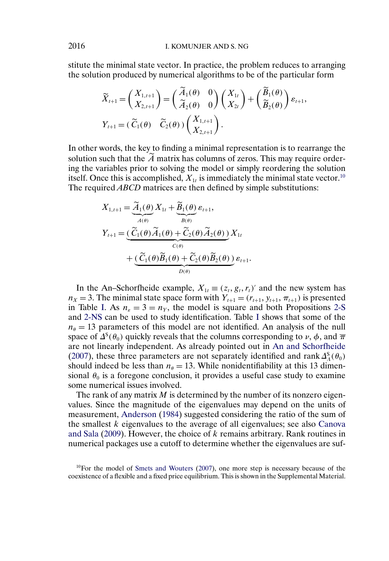stitute the minimal state vector. In practice, the problem reduces to arranging the solution produced by numerical algorithms to be of the particular form

$$
\widetilde{X}_{t+1} = \begin{pmatrix} X_{1,t+1} \\ X_{2,t+1} \end{pmatrix} = \begin{pmatrix} \widetilde{A}_1(\theta) & 0 \\ \widetilde{A}_2(\theta) & 0 \end{pmatrix} \begin{pmatrix} X_{1t} \\ X_{2t} \end{pmatrix} + \begin{pmatrix} \widetilde{B}_1(\theta) \\ \widetilde{B}_2(\theta) \end{pmatrix} \varepsilon_{t+1},
$$
\n
$$
Y_{t+1} = (\widetilde{C}_1(\theta) \quad \widetilde{C}_2(\theta) \begin{pmatrix} X_{1,t+1} \\ X_{2,t+1} \end{pmatrix}.
$$

In other words, the key to finding a minimal representation is to rearrange the solution such that the  $\overline{A}$  matrix has columns of zeros. This may require ordering the variables prior to solving the model or simply reordering the solution itself. Once this is accomplished,  $X_{1t}$  is immediately the minimal state vector.<sup>10</sup> The required *ABCD* matrices are then defined by simple substitutions:

$$
X_{1,t+1} = \underbrace{\widetilde{A}_1(\theta)}_{A(\theta)} X_{1t} + \underbrace{\widetilde{B}_1(\theta)}_{B(\theta)} \varepsilon_{t+1},
$$
  
\n
$$
Y_{t+1} = \underbrace{(\widetilde{C}_1(\theta)\widetilde{A}_1(\theta) + \widetilde{C}_2(\theta)\widetilde{A}_2(\theta))}_{C(\theta)} X_{1t}
$$
  
\n
$$
+ \underbrace{(\widetilde{C}_1(\theta)\widetilde{B}_1(\theta) + \widetilde{C}_2(\theta)\widetilde{B}_2(\theta))}_{D(\theta)} \varepsilon_{t+1}.
$$

In the An–Schorfheide example,  $X_{1t} \equiv (z_t, g_t, r_t)'$  and the new system has  $n_X = 3$ . The minimal state space form with  $Y_{t+1} = (r_{t+1}, y_{t+1}, \pi_{t+1})$  is presented in Table [I.](#page-23-0) As  $n_{\epsilon} = 3 = n_Y$ , the model is square and both Propositions [2-S](#page-11-0) and [2-NS](#page-15-0) can be used to study identification. Table [I](#page-23-0) shows that some of the  $n_{\theta} = 13$  parameters of this model are not identified. An analysis of the null space of  $\Delta^{s}(\theta_0)$  quickly reveals that the columns corresponding to  $\nu$ ,  $\phi$ , and  $\overline{\pi}$ are not linearly independent. As already pointed out in [An and Schorfheide](#page-36-0) [\(2007\)](#page-36-0), these three parameters are not separately identified and rank  $\Delta_A^S(\theta_0)$ should indeed be less than  $n_{\theta} = 13$ . While nonidentifiability at this 13 dimensional  $\theta_0$  is a foregone conclusion, it provides a useful case study to examine some numerical issues involved.

The rank of any matrix  $M$  is determined by the number of its nonzero eigenvalues. Since the magnitude of the eigenvalues may depend on the units of measurement, [Anderson](#page-36-0) [\(1984\)](#page-36-0) suggested considering the ratio of the sum of the smallest  $k$  eigenvalues to the average of all eigenvalues; see also [Canova](#page-36-0) [and Sala](#page-36-0) [\(2009\)](#page-36-0). However, the choice of k remains arbitrary. Rank routines in numerical packages use a cutoff to determine whether the eigenvalues are suf-

 $10$ For the model of [Smets and Wouters](#page-38-0) [\(2007\)](#page-38-0), one more step is necessary because of the coexistence of a flexible and a fixed price equilibrium. This is shown in the Supplemental Material.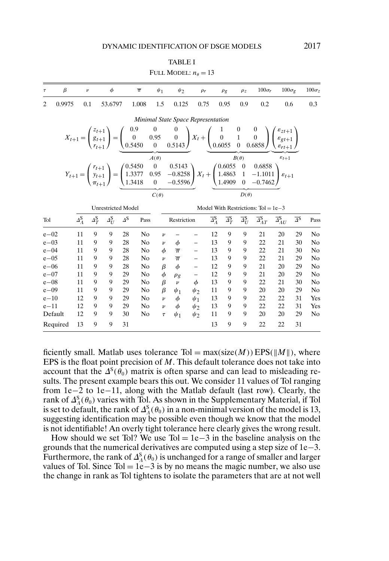#### TABLE I

| FULL MODEL: $n_a = 13$ |  |  |  |
|------------------------|--|--|--|
|------------------------|--|--|--|

<span id="page-23-0"></span>

| $\tau$                             | $\beta$ | $\boldsymbol{\nu}$      |                         | $\phi$             | $\overline{\pi}$                                                                                                                                                                                                                                                                                                                           | $\psi_1$                                        | $\psi_2$                             | $\rho_r$          |                                    | $\rho$ g                           | $\rho$ <sub>z</sub>                 | $100\sigma_r$                         | $100\sigma_{\rm P}$                   |                         | $100\sigma$ z  |
|------------------------------------|---------|-------------------------|-------------------------|--------------------|--------------------------------------------------------------------------------------------------------------------------------------------------------------------------------------------------------------------------------------------------------------------------------------------------------------------------------------------|-------------------------------------------------|--------------------------------------|-------------------|------------------------------------|------------------------------------|-------------------------------------|---------------------------------------|---------------------------------------|-------------------------|----------------|
| $\overline{c}$                     | 0.9975  | 0.1                     |                         | 53.6797            | 1.008                                                                                                                                                                                                                                                                                                                                      | 1.5                                             | 0.125                                | 0.75              |                                    | 0.95                               | 0.9                                 | 0.2                                   | 0.6                                   |                         | 0.3            |
| Minimal State Space Representation |         |                         |                         |                    |                                                                                                                                                                                                                                                                                                                                            |                                                 |                                      |                   |                                    |                                    |                                     |                                       |                                       |                         |                |
|                                    |         |                         |                         |                    | $X_{t+1} = \begin{pmatrix} z_{t+1} \\ g_{t+1} \\ r_{t+1} \end{pmatrix} = \begin{pmatrix} 0.9 & 0 & 0 \\ 0 & 0.95 & 0 \\ 0.5450 & 0 & 0.5143 \end{pmatrix} X_t + \begin{pmatrix} 1 & 0 & 0 \\ 0 & 1 & 0 \\ 0.6055 & 0 & 0.6858 \end{pmatrix} \begin{pmatrix} \varepsilon_{z,t+1} \\ \varepsilon_{gt+1} \\ \varepsilon_{rt+1} \end{pmatrix}$ |                                                 |                                      |                   |                                    |                                    |                                     |                                       |                                       |                         |                |
|                                    |         |                         |                         |                    | $Y_{t+1} = \begin{pmatrix} r_{t+1} \\ y_{t+1} \\ \pi_{t+1} \end{pmatrix} = \begin{pmatrix} 0.5450 & 0 & 0.5143 \\ 1.3377 & 0.95 & -0.8258 \\ 1.3418 & 0 & -0.5596 \end{pmatrix} X_t + \begin{pmatrix} 0.6055 & 0 & 0.6858 \\ 1.4863 & 1 & -1.1011 \\ 1.4909 & 0 & -0.7462 \end{pmatrix} \varepsilon_{t+1}$                                 | $A(\theta)$                                     |                                      |                   |                                    |                                    | $B(\theta)$                         |                                       | $\varepsilon_{t+1}$                   |                         |                |
|                                    |         |                         |                         |                    |                                                                                                                                                                                                                                                                                                                                            | $C(\theta)$                                     |                                      |                   |                                    |                                    | $D(\theta)$                         |                                       |                                       |                         |                |
|                                    |         |                         |                         |                    | <b>Unrestricted Model</b>                                                                                                                                                                                                                                                                                                                  |                                                 |                                      |                   |                                    |                                    |                                     | Model With Restrictions: $Tol = 1e-3$ |                                       |                         |                |
| Tol                                |         | $\Delta_A^{\mathbf{S}}$ | $\Delta_T^{\mathbf{S}}$ | $\Delta_U^{\rm S}$ | $\Delta$ <sup>S</sup>                                                                                                                                                                                                                                                                                                                      | Pass                                            | Restriction                          |                   | $\overline{\Delta}_{A}^{\text{S}}$ | $\overline{\Delta}_T^{\mathbf{S}}$ | $\overline{\varDelta_U^{\text{S}}}$ | $\overline{\Delta}_{AT}^{\rm S}$      | $\overline{\Delta}^{\mathbf{S}}_{AU}$ | $\overline{\Delta}{}^S$ | Pass           |
| $e - 02$                           |         | 11                      | 9                       | 9                  | 28                                                                                                                                                                                                                                                                                                                                         | N <sub>0</sub><br>$\boldsymbol{\nu}$            |                                      |                   | 12                                 | 9                                  | 9                                   | 21                                    | 20                                    | 29                      | No             |
| $e - 03$                           |         | 11                      | 9                       | 9                  | 28                                                                                                                                                                                                                                                                                                                                         | N <sub>0</sub><br>$\boldsymbol{\nu}$            | $\phi$                               | $\qquad \qquad -$ | 13                                 | 9                                  | 9                                   | 22                                    | 21                                    | 30                      | No             |
| $e - 04$<br>$e - 0.5$              |         | 11                      | 9<br>9                  | 9                  | 28                                                                                                                                                                                                                                                                                                                                         | N <sub>0</sub><br>$\phi$                        | $\overline{\pi}$<br>$\overline{\pi}$ |                   | 13                                 | 9                                  | 9                                   | 22<br>22                              | 21                                    | 30                      | N <sub>0</sub> |
| $e - 06$                           |         | 11<br>11                | 9                       | 9<br>9             | 28<br>28                                                                                                                                                                                                                                                                                                                                   | N <sub>0</sub><br>$\boldsymbol{\nu}$<br>β<br>No | $\phi$                               | $\frac{1}{2}$     | 13<br>12                           | 9<br>9                             | 9<br>9                              | 21                                    | 21<br>20                              | 29<br>29                | No<br>No       |
| $e - 07$                           |         | 11                      | 9                       | 9                  | 29                                                                                                                                                                                                                                                                                                                                         | $\phi$<br>N <sub>0</sub>                        |                                      |                   | 12                                 | 9                                  | 9                                   | 21                                    | 20                                    | 29                      | No             |
| $e - 08$                           |         | 11                      | 9                       | 9                  | 29                                                                                                                                                                                                                                                                                                                                         | β<br>N <sub>0</sub>                             | $\rho_g$<br>$\nu$                    | $\frac{1}{\phi}$  | 13                                 | 9                                  | 9                                   | 22                                    | 21                                    | 30                      | No             |
| $e - 09$                           |         | 11                      | 9                       | 9                  | 29                                                                                                                                                                                                                                                                                                                                         | N <sub>0</sub><br>β                             | $\psi_1$                             | $\psi_2$          | 11                                 | 9                                  | 9                                   | 20                                    | 20                                    | 29                      | N <sub>0</sub> |
| $e-10$                             |         | 12                      | 9                       | 9                  | 29                                                                                                                                                                                                                                                                                                                                         | N <sub>0</sub><br>$\boldsymbol{\nu}$            | $\phi$                               | $\psi_1$          | 13                                 | 9                                  | 9                                   | 22                                    | 22                                    | 31                      | Yes            |
| $e - 11$                           |         | 12                      | 9                       | 9                  | 29                                                                                                                                                                                                                                                                                                                                         | No<br>$\boldsymbol{\nu}$                        | $\phi$                               | $\psi_2$          | 13                                 | 9                                  | 9                                   | 22                                    | 22                                    | 31                      | Yes            |
| Default                            |         | 12                      | 9                       | 9                  | 30                                                                                                                                                                                                                                                                                                                                         | N <sub>0</sub><br>$\tau$                        | $\psi_1$                             | $\psi_2$          | 11                                 | 9                                  | 9                                   | 20                                    | 20                                    | 29                      | N <sub>0</sub> |
| Required                           |         | 13                      | 9                       | 9                  | 31                                                                                                                                                                                                                                                                                                                                         |                                                 |                                      |                   | 13                                 | 9                                  | 9                                   | 22                                    | 22                                    | 31                      |                |

ficiently small. Matlab uses tolerance Tol =  $max(size(M))EPS(\|M\|)$ , where EPS is the float point precision of  $M$ . This default tolerance does not take into account that the  $\Delta^{s}(\theta_0)$  matrix is often sparse and can lead to misleading results. The present example bears this out. We consider 11 values of Tol ranging from 1e−2 to 1e−11, along with the Matlab default (last row). Clearly, the rank of  $\Delta_A^S(\theta_0)$  varies with Tol. As shown in the Supplementary Material, if Tol is set to default, the rank of  $\Delta_A^S(\theta_0)$  in a non-minimal version of the model is 13, suggesting identification may be possible even though we know that the model is not identifiable! An overly tight tolerance here clearly gives the wrong result.

How should we set Tol? We use Tol =  $1e-3$  in the baseline analysis on the grounds that the numerical derivatives are computed using a step size of 1e−3. Furthermore, the rank of  $\Delta_A^S(\theta_0)$  is unchanged for a range of smaller and larger values of Tol. Since Tol = 1e−3 is by no means the magic number, we also use the change in rank as Tol tightens to isolate the parameters that are at not well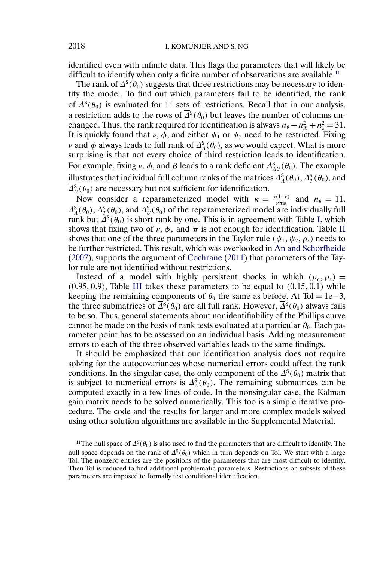identified even with infinite data. This flags the parameters that will likely be difficult to identify when only a finite number of observations are available.<sup>11</sup>

The rank of  $\Delta^{s}(\theta_0)$  suggests that three restrictions may be necessary to identify the model. To find out which parameters fail to be identified, the rank of  $\overline{\Delta}^s(\theta_0)$  is evaluated for 11 sets of restrictions. Recall that in our analysis, a restriction adds to the rows of  $\overline{\Delta}^s(\theta_0)$  but leaves the number of columns unchanged. Thus, the rank required for identification is always  $n_{\theta} + n_X^2 + n_{\epsilon}^2 = 31$ . It is quickly found that  $\nu$ ,  $\phi$ , and either  $\psi_1$  or  $\psi_2$  need to be restricted. Fixing ν and φ always leads to full rank of  $\Delta_A^S$ (θ<sub>0</sub>), as we would expect. What is more surprising is that not every choice of third restriction leads to identification. For example, fixing  $\nu$ ,  $\phi$ , and  $\beta$  leads to a rank deficient  $\Delta_{AU}^S(\theta_0)$ . The example illustrates that individual full column ranks of the matrices  $\varDelta_{A}^{\mathrm{S}}(\theta_{0}), \varDelta_{T}^{\mathrm{S}}(\theta_{0}),$  and  $\Delta_U^S(\theta_0)$  are necessary but not sufficient for identification.

Now consider a reparameterized model with  $\kappa = \frac{\tau(1-\nu)}{\nu \pi \phi}$  and  $n_{\theta} = 11$ .  $\Delta_A^S(\theta_0), \Delta_T^S(\theta_0)$ , and  $\Delta_U^S(\theta_0)$  of the reparameterized model are individually full rank but  $\Delta^{S}(\theta_0)$  is short rank by one. This is in agreement with Table [I,](#page-23-0) which shows that fixing two of  $\nu$ ,  $\phi$ , and  $\overline{\pi}$  is not enough for identification. Table [II](#page-25-0) shows that one of the three parameters in the Taylor rule ( $\psi_1, \psi_2, \rho_r$ ) needs to be further restricted. This result, which was overlooked in [An and Schorfheide](#page-36-0) [\(2007\)](#page-36-0), supports the argument of [Cochrane](#page-36-0) [\(2011\)](#page-36-0) that parameters of the Taylor rule are not identified without restrictions.

Instead of a model with highly persistent shocks in which  $(\rho_g, \rho_z)$  =  $(0.95, 0.9)$ , Table [III](#page-25-0) takes these parameters to be equal to  $(0.15, 0.\dot{1})$  while keeping the remaining components of  $\theta_0$  the same as before. At Tol = 1e−3, the three submatrices of  $\overline{\Delta}^s(\theta_0)$  are all full rank. However,  $\overline{\Delta}^s(\theta_0)$  always fails to be so. Thus, general statements about nonidentifiability of the Phillips curve cannot be made on the basis of rank tests evaluated at a particular  $\theta_0$ . Each parameter point has to be assessed on an individual basis. Adding measurement errors to each of the three observed variables leads to the same findings.

It should be emphasized that our identification analysis does not require solving for the autocovariances whose numerical errors could affect the rank conditions. In the singular case, the only component of the  $\Delta^{S}(\theta_0)$  matrix that is subject to numerical errors is  $\Delta_A^S(\theta_0)$ . The remaining submatrices can be computed exactly in a few lines of code. In the nonsingular case, the Kalman gain matrix needs to be solved numerically. This too is a simple iterative procedure. The code and the results for larger and more complex models solved using other solution algorithms are available in the Supplemental Material.

<sup>&</sup>lt;sup>11</sup>The null space of  $\Delta^{s}(\theta_0)$  is also used to find the parameters that are difficult to identify. The null space depends on the rank of  $\Delta^{S}(\theta_0)$  which in turn depends on Tol. We start with a large Tol. The nonzero entries are the positions of the parameters that are most difficult to identify. Then Tol is reduced to find additional problematic parameters. Restrictions on subsets of these parameters are imposed to formally test conditional identification.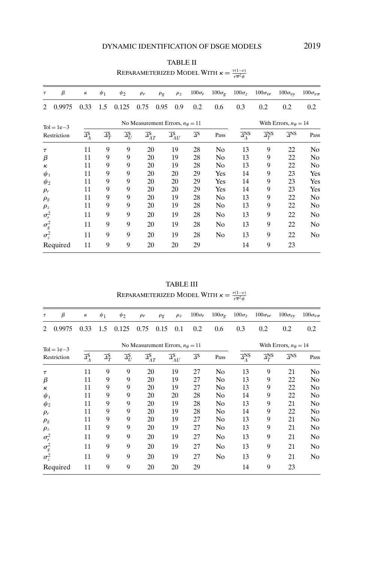#### TABLE II

<span id="page-25-0"></span>

| Τ              | β            | к                               | $\psi_1$                           | $\psi_2$                           | $\rho_r$                                 | $\rho$ g | $\rho$ z                              | $100\sigma_r$                    | $100\sigma_{g}$ | $100\sigma_z$                          | $100\sigma_{vr}$                  | $100\sigma_{\rm UV}$   | $100\sigma_{v\pi}$ |  |
|----------------|--------------|---------------------------------|------------------------------------|------------------------------------|------------------------------------------|----------|---------------------------------------|----------------------------------|-----------------|----------------------------------------|-----------------------------------|------------------------|--------------------|--|
| $\mathfrak{D}$ | 0.9975       | 0.33                            | 1.5                                | 0.125                              | 0.75                                     | 0.95     | 0.9                                   | 0.2                              | 0.6             | 0.3                                    | 0.2                               | 0.2                    | 0.2                |  |
|                | $Tol = 1e-3$ |                                 |                                    |                                    | No Measurement Errors, $n_{\theta} = 11$ |          |                                       |                                  |                 |                                        | With Errors, $n_{\theta} = 14$    |                        |                    |  |
|                | Restriction  | $\overline{\Delta}_{A}^{\rm S}$ | $\overline{\Delta}_T^{\mathbf{S}}$ | $\overline{\Delta_U^{\mathbf{S}}}$ | $\overline{\Delta}_{AT}^{\mathbf{S}}$    |          | $\overline{\Delta}^{\mathbf{S}}_{AU}$ | $\overline{\Delta}^{\mathbf{S}}$ | Pass            | $\overline{\Delta}_{\Lambda}^{\rm NS}$ | $\overline{\Delta}^{\text{NS}}_T$ | $\overline{\Delta}$ NS | Pass               |  |
| $\tau$         |              | 11                              | 9                                  | 9                                  | 20                                       |          | 19                                    | 28                               | No              | 13                                     | 9                                 | 22                     | No                 |  |
| β              |              | 11                              | 9                                  | 9                                  | 20                                       |          | 19                                    | 28                               | N <sub>0</sub>  | 13                                     | 9                                 | 22                     | No                 |  |
| К              |              | 11                              | 9                                  | 9                                  | 20                                       |          | 19                                    | 28                               | No              | 13                                     | 9                                 | 22                     | No                 |  |
| $\psi_1$       |              | 11                              | 9                                  | 9                                  | 20                                       |          | 20                                    | 29                               | Yes             | 14                                     | 9                                 | 23                     | Yes                |  |
| $\psi_2$       |              | 11                              | 9                                  | 9                                  | 20                                       |          | 20                                    | 29                               | Yes             | 14                                     | 9                                 | 23                     | Yes                |  |
| $\rho_r$       |              | 11                              | 9                                  | 9                                  | 20                                       |          | 20                                    | 29                               | Yes             | 14                                     | 9                                 | 23                     | Yes                |  |
| $\rho_{g}$     |              | 11                              | 9                                  | 9                                  | 20                                       |          | 19                                    | 28                               | No              | 13                                     | 9                                 | 22                     | No                 |  |
| $\rho_z$       |              | 11                              | 9                                  | 9                                  | 20                                       |          | 19                                    | 28                               | No              | 13                                     | 9                                 | 22                     | No                 |  |
| $\sigma_r^2$   |              | 11                              | 9                                  | 9                                  | 20                                       |          | 19                                    | 28                               | No              | 13                                     | 9                                 | 22                     | N <sub>0</sub>     |  |
| $\sigma_g^2$   |              | 11                              | 9                                  | 9                                  | 20                                       |          | 19                                    | 28                               | N <sub>0</sub>  | 13                                     | 9                                 | 22                     | N <sub>0</sub>     |  |
| $\sigma_z^2$   |              | 11                              | 9                                  | 9                                  | 20                                       |          | 19                                    | 28                               | No              | 13                                     | 9                                 | 22                     | No                 |  |
|                | Required     | 11                              | 9                                  | 9                                  | 20                                       |          | 20                                    | 29                               |                 | 14                                     | 9                                 | 23                     |                    |  |

REPARAMETERIZED MODEL WITH  $\kappa = \frac{\tau(1-\nu)}{\nu \overline{\pi}^2 \phi}$ 

TABLE III REPARAMETERIZED MODEL WITH  $\kappa = \frac{\tau(1-\nu)}{\nu \overline{\pi}^2 \phi}$ 

| $\tau$       | β            | к                               | $\psi_1$                                 | $\psi_2$                           | $\rho_r$                              | $\rho$ g | $\rho$ z                                | $100\sigma_r$                    | $100\sigma_{g}$ | $100\sigma_z$                          | $100\sigma_{vr}$                  | $100\sigma_{\rm UV}$           | $100\sigma_{v\pi}$ |
|--------------|--------------|---------------------------------|------------------------------------------|------------------------------------|---------------------------------------|----------|-----------------------------------------|----------------------------------|-----------------|----------------------------------------|-----------------------------------|--------------------------------|--------------------|
| 2            | 0.9975       | 0.33                            | 1.5                                      | 0.125                              | 0.75                                  | 0.15     | 0.1                                     | 0.2                              | 0.6             | 0.3                                    | 0.2                               | 0.2                            | 0.2                |
|              | $Tol = 1e-3$ |                                 | No Measurement Errors, $n_{\theta} = 11$ |                                    |                                       |          |                                         |                                  |                 |                                        |                                   | With Errors, $n_{\theta} = 14$ |                    |
|              | Restriction  | $\overline{\Delta}_{A}^{\rm S}$ | $\overline{\Delta}_T^{\mathbf{S}}$       | $\overline{\Delta}^{\mathsf{S}}_U$ | $\overline{\Delta}_{AT}^{\mathbf{S}}$ |          | $\overline{\Delta}_{\Lambda U}^{\rm S}$ | $\overline{\Delta}^{\mathbf{S}}$ | Pass            | $\overline{\Delta}_{\Lambda}^{\rm NS}$ | $\overline{\Delta}^{\text{NS}}_T$ | $\overline{\Delta}$ NS         | Pass               |
| $\tau$       |              | 11                              | 9                                        | 9                                  | 20                                    |          | 19                                      | 27                               | No              | 13                                     | 9                                 | 21                             | No                 |
| $\beta$      |              | 11                              | 9                                        | 9                                  | 20                                    |          | 19                                      | 27                               | No              | 13                                     | 9                                 | 22                             | No                 |
| к            |              | 11                              | 9                                        | 9                                  | 20                                    |          | 19                                      | 27                               | No              | 13                                     | 9                                 | 22                             | No                 |
| $\psi_1$     |              | 11                              | 9                                        | 9                                  | 20                                    |          | 20                                      | 28                               | No              | 14                                     | 9                                 | 22                             | No                 |
| $\psi_2$     |              | 11                              | 9                                        | 9                                  | 20                                    |          | 19                                      | 28                               | No              | 13                                     | 9                                 | 21                             | No                 |
| $\rho_r$     |              | 11                              | 9                                        | 9                                  | 20                                    |          | 19                                      | 28                               | No              | 14                                     | 9                                 | 22                             | No                 |
| $\rho_{g}$   |              | 11                              | 9                                        | 9                                  | 20                                    |          | 19                                      | 27                               | No              | 13                                     | 9                                 | 21                             | N <sub>0</sub>     |
| $\rho_z$     |              | 11                              | 9                                        | 9                                  | 20                                    |          | 19                                      | 27                               | No              | 13                                     | 9                                 | 21                             | No                 |
| $\sigma_r^2$ |              | 11                              | 9                                        | 9                                  | 20                                    |          | 19                                      | 27                               | N <sub>0</sub>  | 13                                     | 9                                 | 21                             | N <sub>0</sub>     |
| $\sigma_g^2$ |              | 11                              | 9                                        | 9                                  | 20                                    |          | 19                                      | 27                               | No              | 13                                     | 9                                 | 21                             | N <sub>0</sub>     |
| $\sigma_z^2$ |              | 11                              | 9                                        | 9                                  | 20                                    |          | 19                                      | 27                               | No              | 13                                     | 9                                 | 21                             | N <sub>0</sub>     |
|              | Required     | 11                              | 9                                        | 9                                  | 20                                    |          | 20                                      | 29                               |                 | 14                                     | 9                                 | 23                             |                    |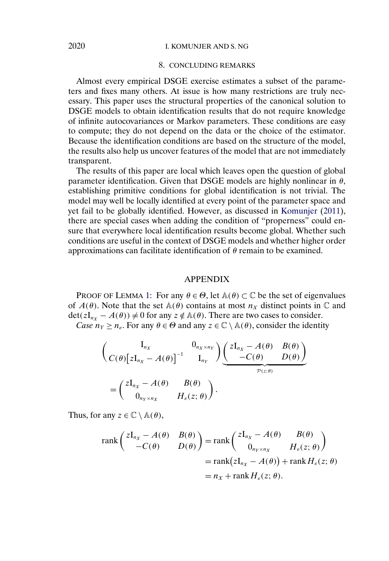## <span id="page-26-0"></span>2020 I. KOMUNJER AND S. NG

## 8. CONCLUDING REMARKS

Almost every empirical DSGE exercise estimates a subset of the parameters and fixes many others. At issue is how many restrictions are truly necessary. This paper uses the structural properties of the canonical solution to DSGE models to obtain identification results that do not require knowledge of infinite autocovariances or Markov parameters. These conditions are easy to compute; they do not depend on the data or the choice of the estimator. Because the identification conditions are based on the structure of the model, the results also help us uncover features of the model that are not immediately transparent.

The results of this paper are local which leaves open the question of global parameter identification. Given that DSGE models are highly nonlinear in  $\theta$ , establishing primitive conditions for global identification is not trivial. The model may well be locally identified at every point of the parameter space and yet fail to be globally identified. However, as discussed in [Komunjer](#page-37-0) [\(2011\)](#page-37-0), there are special cases when adding the condition of "properness" could ensure that everywhere local identification results become global. Whether such conditions are useful in the context of DSGE models and whether higher order approximations can facilitate identification of  $\theta$  remain to be examined.

#### APPENDIX

PROOF OF LEMMA [1:](#page-6-0) For any  $\theta \in \Theta$ , let  $\mathbb{A}(\theta) \subset \mathbb{C}$  be the set of eigenvalues of  $A(\theta)$ . Note that the set  $A(\theta)$  contains at most  $n<sub>X</sub>$  distinct points in  $\mathbb C$  and  $\det(zI_{n_x} - A(\theta)) \neq 0$  for any  $z \notin A(\theta)$ . There are two cases to consider. *Case*  $n_Y \ge n_\varepsilon$ . For any  $\theta \in \Theta$  and any  $z \in \mathbb{C} \setminus \mathbb{A}(\theta)$ , consider the identity

$$
\left(\begin{array}{cc}\nI_{n_X} & 0_{n_X \times n_Y} \\
C(\theta) \left[zI_{n_X} - A(\theta)\right]^{-1} & I_{n_Y}\n\end{array}\right) \underbrace{\left(\begin{array}{cc}\nzI_{n_X} - A(\theta) & B(\theta) \\
-C(\theta) & D(\theta)\n\end{array}\right)}_{\mathcal{P}(z;\theta)}
$$
\n
$$
= \left(\begin{array}{cc}\nzI_{n_X} - A(\theta) & B(\theta) \\
0_{n_Y \times n_X} & H_{\varepsilon}(z;\theta)\n\end{array}\right).
$$

Thus, for any  $z \in \mathbb{C} \setminus \mathbb{A}(\theta)$ ,

$$
\operatorname{rank}\begin{pmatrix} zI_{n_X} - A(\theta) & B(\theta) \\ -C(\theta) & D(\theta) \end{pmatrix} = \operatorname{rank}\begin{pmatrix} zI_{n_X} - A(\theta) & B(\theta) \\ 0_{n_Y \times n_X} & H_{\varepsilon}(z; \theta) \end{pmatrix}
$$

$$
= \operatorname{rank}(zI_{n_X} - A(\theta)) + \operatorname{rank} H_{\varepsilon}(z; \theta)
$$

$$
= n_X + \operatorname{rank} H_{\varepsilon}(z; \theta).
$$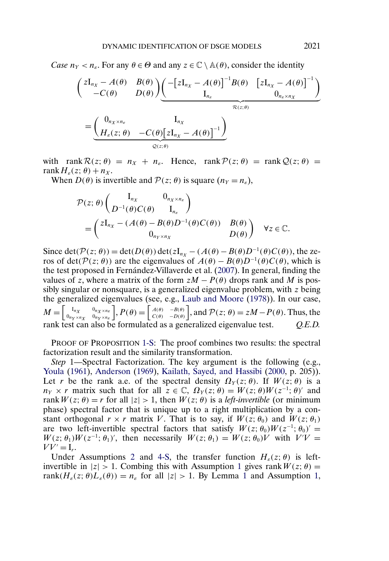*Case*  $n_Y < n_s$ . For any  $\theta \in \Theta$  and any  $z \in \mathbb{C} \setminus \mathbb{A}(\theta)$ , consider the identity

$$
\begin{aligned}\n\left(\begin{array}{cc} zI_{n_X} - A(\theta) & B(\theta) \\ -C(\theta) & D(\theta) \end{array}\right) & \underbrace{\left(-\left[zI_{n_X} - A(\theta)\right]^{-1}B(\theta) & \left[zI_{n_X} - A(\theta)\right]^{-1}\right)}_{I_{n_{\varepsilon}}} \\
&= \underbrace{\left(\begin{array}{cc} 0_{n_X \times n_{\varepsilon}} & I_{n_X} \\ H_{\varepsilon}(z;\theta) & -C(\theta)\left[zI_{n_X} - A(\theta)\right]^{-1}\end{array}\right)}_{\mathcal{Q}(z;\theta)}\n\end{aligned}
$$

with rank  $\mathcal{R}(z; \theta) = n_x + n_s$ . Hence, rank  $\mathcal{P}(z; \theta) = \text{rank } \mathcal{Q}(z; \theta) =$ rank $H_{\varepsilon}(z;\theta) + n_X$ .

When  $D(\theta)$  is invertible and  $\mathcal{P}(z; \theta)$  is square  $(n_Y = n_{\epsilon})$ ,

$$
\mathcal{P}(z; \theta) \begin{pmatrix} I_{n_X} & 0_{n_X \times n_e} \\ D^{-1}(\theta) C(\theta) & I_{n_e} \end{pmatrix}
$$
  
= 
$$
\begin{pmatrix} zI_{n_X} - (A(\theta) - B(\theta)D^{-1}(\theta)C(\theta)) & B(\theta) \\ 0_{n_Y \times n_X} & D(\theta) \end{pmatrix} \quad \forall z \in \mathbb{C}.
$$

Since det( $P(z; \theta)$ ) = det( $D(\theta)$ ) det( $zI_{n_X} - (A(\theta) - B(\theta)D^{-1}(\theta)C(\theta))$ , the zeros of det( $\mathcal{P}(z; \theta)$ ) are the eigenvalues of  $A(\theta) - B(\theta)D^{-1}(\theta)C(\theta)$ , which is the test proposed in Fernández-Villaverde et al. [\(2007\)](#page-37-0). In general, finding the values of z, where a matrix of the form  $zM - P(\theta)$  drops rank and M is possibly singular or nonsquare, is a generalized eigenvalue problem, with z being the generalized eigenvalues (see, e.g., [Laub and Moore](#page-37-0) [\(1978\)](#page-37-0)). In our case,  $M = \left[ \begin{smallmatrix} 1_{n_X} \ 0 & \cdots \end{smallmatrix} \right]$  $0_{n_Y \times n_X}$  $0_{n_X \times n_{\mathcal{E}}}$  $0n_Y \times n_{\varepsilon}$  $P(\theta) = \begin{bmatrix} A(\theta) \\ C(\theta) \end{bmatrix}$  $C(\theta)$  $\left.\begin{array}{l} -B(\theta)\\ -D(\theta) \end{array}\right]$ , and  $\mathcal{P}(z;\theta)=zM-P(\theta)$ . Thus, the rank test can also be formulated as a generalized eigenvalue test. *Q.E.D.*

PROOF OF PROPOSITION [1-S:](#page-10-0) The proof combines two results: the spectral factorization result and the similarity transformation.

*Step* 1—Spectral Factorization. The key argument is the following (e.g., [Youla](#page-38-0) [\(1961\)](#page-38-0), [Anderson](#page-36-0) [\(1969\)](#page-36-0), [Kailath, Sayed, and Hassibi](#page-37-0) [\(2000,](#page-37-0) p. 205)). Let r be the rank a.e. of the spectral density  $\Omega_Y(z;\theta)$ . If  $W(z;\theta)$  is a  $n_Y \times r$  matrix such that for all  $z \in \mathbb{C}$ ,  $\Omega_Y(z;\theta) = W(z;\theta)W(z^{-1};\theta)'$  and rank  $W(z; \theta) = r$  for all  $|z| > 1$ , then  $W(z; \theta)$  is a *left-invertible* (or minimum phase) spectral factor that is unique up to a right multiplication by a constant orthogonal  $r \times r$  matrix V. That is to say, if  $W(z; \theta_0)$  and  $W(z; \theta_1)$ are two left-invertible spectral factors that satisfy  $W(z; \theta_0)W(z^{-1}; \theta_0)' =$  $W(z; \theta_1)W(z^{-1}; \theta_1)'$ , then necessarily  $W(z; \theta_1) = W(z; \theta_0)V$  with  $V'V =$  $VV' = I_r$ .

Under Assumptions [2](#page-5-0) and [4-S,](#page-8-0) the transfer function  $H_{\varepsilon}(z;\theta)$  is leftinvertible in  $|z| > 1$  $|z| > 1$ . Combing this with Assumption 1 gives rank  $W(z; \theta) =$ rank $(H_{\varepsilon}(z; \theta)L_{\varepsilon}(\theta)) = n_{\varepsilon}$  for all  $|z| > 1$  $|z| > 1$ . By Lemma 1 and Assumption [1,](#page-4-0)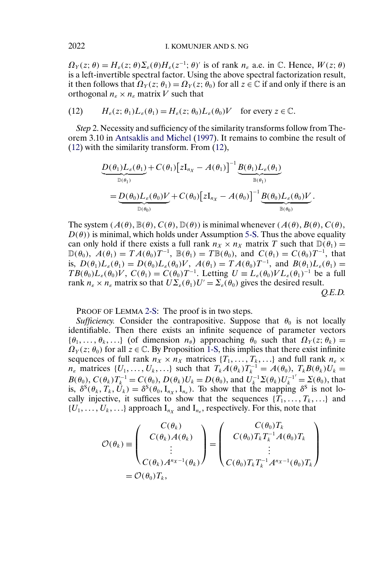$\Omega_Y(z;\theta) = H_{\varepsilon}(z;\theta) \Sigma_{\varepsilon}(\theta) H_{\varepsilon}(z^{-1};\theta)'$  is of rank  $n_{\varepsilon}$  a.e. in  $\mathbb{C}$ . Hence,  $W(z;\theta)$ is a left-invertible spectral factor. Using the above spectral factorization result, it then follows that  $\Omega_Y(z; \theta_1) = \Omega_Y(z; \theta_0)$  for all  $z \in \mathbb{C}$  if and only if there is an orthogonal  $n_{\varepsilon} \times n_{\varepsilon}$  matrix V such that

(12) 
$$
H_{\varepsilon}(z; \theta_1)L_{\varepsilon}(\theta_1) = H_{\varepsilon}(z; \theta_0)L_{\varepsilon}(\theta_0)V \text{ for every } z \in \mathbb{C}.
$$

*Step* 2. Necessity and sufficiency of the similarity transforms follow from Theorem 3.10 in [Antsaklis and Michel](#page-36-0) [\(1997\)](#page-36-0). It remains to combine the result of (12) with the similarity transform. From (12),

$$
\underbrace{D(\theta_1)L_{\varepsilon}(\theta_1)}_{\mathbb{D}(\theta_1)} + C(\theta_1) \Big[zI_{n_X} - A(\theta_1)\Big]^{-1} \underbrace{B(\theta_1)L_{\varepsilon}(\theta_1)}_{\mathbb{B}(\theta_1)} \n= \underbrace{D(\theta_0)L_{\varepsilon}(\theta_0)V}_{\mathbb{D}(\theta_0)} + C(\theta_0) \Big[zI_{n_X} - A(\theta_0)\Big]^{-1} \underbrace{B(\theta_0)L_{\varepsilon}(\theta_0)V}_{\mathbb{B}(\theta_0)}.
$$

The system  $(A(\theta), \mathbb{B}(\theta), C(\theta), \mathbb{D}(\theta))$  is minimal whenever  $(A(\theta), B(\theta), C(\theta),$  $D(\theta)$ ) is minimal, which holds under Assumption [5-S.](#page-8-0) Thus the above equality can only hold if there exists a full rank  $n_X \times n_X$  matrix T such that  $\mathbb{D}(\theta_1) =$  $\mathbb{D}(\theta_0)$ ,  $A(\theta_1) = TA(\theta_0)T^{-1}$ ,  $\mathbb{B}(\theta_1) = T\mathbb{B}(\theta_0)$ , and  $C(\theta_1) = C(\theta_0)T^{-1}$ , that is,  $D(\theta_1)L_{\varepsilon}(\theta_1) = D(\theta_0)L_{\varepsilon}(\theta_0)V$ ,  $A(\theta_1) = TA(\theta_0)T^{-1}$ , and  $B(\theta_1)L_{\varepsilon}(\theta_1) =$  $TB(\theta_0)L_{\varepsilon}(\theta_0)V, C(\theta_1)=C(\theta_0)T^{-1}.$  Letting  $U \equiv L_{\varepsilon}(\theta_0)V L_{\varepsilon}(\theta_1)^{-1}$  be a full rank  $n_{\varepsilon} \times n_{\varepsilon}$  matrix so that  $U\Sigma_{\varepsilon}(\theta_1)U' = \Sigma_{\varepsilon}(\theta_0)$  gives the desired result. *Q.E.D.*

PROOF OF LEMMA [2-S:](#page-10-0) The proof is in two steps.

*Sufficiency.* Consider the contrapositive. Suppose that  $\theta_0$  is not locally identifiable. Then there exists an infinite sequence of parameter vectors  $\{\theta_1, \ldots, \theta_k, \ldots\}$  (of dimension  $n_{\theta}$ ) approaching  $\theta_0$  such that  $\Omega_Y(z; \theta_k) =$  $\Omega_Y(z; \theta_0)$  for all  $z \in \mathbb{C}$ . By Proposition [1-S,](#page-10-0) this implies that there exist infinite sequences of full rank  $n_X \times n_X$  matrices  $\{T_1, \ldots, T_k, \ldots\}$  and full rank  $n_{\varepsilon} \times$  $n_{\varepsilon}$  matrices  $\{U_1, \ldots, U_k, \ldots\}$  such that  $T_k A(\theta_k) T_k^{-1} = A(\theta_0), T_k B(\theta_k) U_k =$  $B(\theta_0)$ ,  $C(\theta_k)T_k^{-1} = C(\theta_0)$ ,  $D(\theta_k)U_k = D(\theta_0)$ , and  $U_k^{-1}\Sigma(\theta_k)U_k^{-1}$  $\mathbf{Z}' = \mathbf{\Sigma}(\theta_0)$ , that is,  $\delta^{S}(\theta_k, T_k, U_k) = \delta^{S}(\theta_0, I_{n_x}, I_{n_y})$ . To show that the mapping  $\delta^{S}$  is not locally injective, it suffices to show that the sequences  $\{T_1, \ldots, T_k, \ldots\}$  and  $\{U_1, \ldots, U_k, \ldots\}$  approach  $I_{n_x}$  and  $I_{n_e}$ , respectively. For this, note that

$$
\mathcal{O}(\theta_k) \equiv \begin{pmatrix} C(\theta_k) \\ C(\theta_k)A(\theta_k) \\ \vdots \\ C(\theta_k)A^{n_X-1}(\theta_k) \end{pmatrix} = \begin{pmatrix} C(\theta_0)T_k \\ C(\theta_0)T_kT_k^{-1}A(\theta_0)T_k \\ \vdots \\ C(\theta_0)T_kT_k^{-1}A^{n_X-1}(\theta_0)T_k \end{pmatrix}
$$
  
=  $\mathcal{O}(\theta_0)T_k$ ,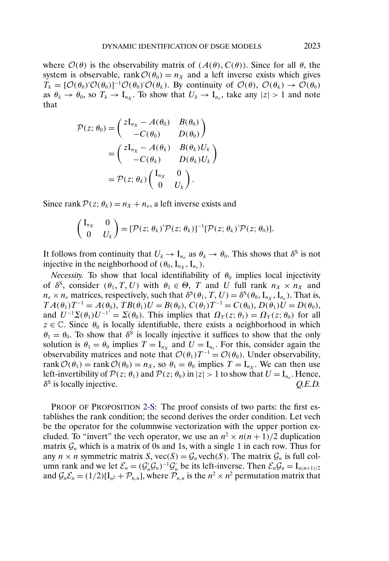where  $\mathcal{O}(\theta)$  is the observability matrix of  $(A(\theta), C(\theta))$ . Since for all  $\theta$ , the system is observable, rank  $O(\theta_0) = n_X$  and a left inverse exists which gives  $T_k = [\mathcal{O}(\theta_0)'\mathcal{O}(\theta_0)]^{-1}\mathcal{O}(\theta_0)'\mathcal{O}(\theta_k)$ . By continuity of  $\mathcal{O}(\theta)$ ,  $\mathcal{O}(\theta_k) \to \mathcal{O}(\theta_0)$ as  $\theta_k \to \theta_0$ , so  $T_k \to I_{n_x}$ . To show that  $U_k \to I_{n_e}$ , take any  $|z| > 1$  and note that

$$
\mathcal{P}(z; \theta_0) = \begin{pmatrix} zI_{n_X} - A(\theta_0) & B(\theta_0) \\ -C(\theta_0) & D(\theta_0) \end{pmatrix}
$$

$$
= \begin{pmatrix} zI_{n_X} - A(\theta_k) & B(\theta_k)U_k \\ -C(\theta_k) & D(\theta_k)U_k \end{pmatrix}
$$

$$
= \mathcal{P}(z; \theta_k) \begin{pmatrix} I_{n_X} & 0 \\ 0 & U_k \end{pmatrix}.
$$

Since rank  $P(z; \theta_k) = n_X + n_{\epsilon}$ , a left inverse exists and

$$
\begin{pmatrix} I_{n_X} & 0 \\ 0 & U_k \end{pmatrix} = [\mathcal{P}(z; \theta_k)^\prime \mathcal{P}(z; \theta_k)]^{-1} [\mathcal{P}(z; \theta_k)^\prime \mathcal{P}(z; \theta_0)].
$$

It follows from continuity that  $U_k \to I_{n_k}$  as  $\theta_k \to \theta_0$ . This shows that  $\delta^S$  is not injective in the neighborhood of  $(\theta_0, I_{n_X}, I_{n_{\epsilon}})$ .

*Necessity.* To show that local identifiability of  $\theta_0$  implies local injectivity of  $\delta^S$ , consider  $(\theta_1, T, U)$  with  $\theta_1 \in \Theta$ , T and U full rank  $n_X \times n_X$  and  $n_{\varepsilon} \times n_{\varepsilon}$  matrices, respectively, such that  $\delta^{S}(\theta_1, T, U) = \delta^{S}(\theta_0, I_{n_X}, I_{n_{\varepsilon}})$ . That is,  $T A(\theta_1) T^{-1} = A(\theta_0), TB(\theta_1) U = B(\theta_0), C(\theta_1) T^{-1} = C(\theta_0), D(\theta_1) U = D(\theta_0),$ and  $U^{-1}\Sigma(\theta_1)U^{-1'}=\Sigma(\theta_0)$ . This implies that  $\Omega_Y(z;\theta_1)=\Omega_Y(z;\theta_0)$  for all  $z \in \mathbb{C}$ . Since  $\theta_0$  is locally identifiable, there exists a neighborhood in which  $\theta_1 = \theta_0$ . To show that  $\delta^{\dot{S}}$  is locally injective it suffices to show that the only solution is  $\theta_1 = \theta_0$  implies  $T = I_{n_x}$  and  $U = I_{n_e}$ . For this, consider again the observability matrices and note that  $\mathcal{O}(\theta_1)T^{-1} = \mathcal{O}(\theta_0)$ . Under observability, rank  $\mathcal{O}(\theta_1)$  = rank  $\mathcal{O}(\theta_0) = n_X$ , so  $\theta_1 = \theta_0$  implies  $T = I_{n_X}$ . We can then use left-invertibility of  $\mathcal{P}(z; \theta_1)$  and  $\mathcal{P}(z; \theta_0)$  in  $|z| > 1$  to show that  $U = I_{n_{\varepsilon}}$ . Hence,  $\delta^S$  is locally injective. *O.E.D.*  $\delta^S$  is locally injective.

PROOF OF PROPOSITION [2-S:](#page-11-0) The proof consists of two parts: the first establishes the rank condition; the second derives the order condition. Let vech be the operator for the columnwise vectorization with the upper portion excluded. To "invert" the vech operator, we use an  $n^2 \times n(n+1)/2$  duplication matrix  $\mathcal{G}_n$  which is a matrix of 0s and 1s, with a single 1 in each row. Thus for any  $n \times n$  symmetric matrix S,  $\text{vec}(S) = \mathcal{G}_n \text{vech}(S)$ . The matrix  $\mathcal{G}_n$  is full column rank and we let  $\mathcal{E}_n = (\mathcal{G}'_n \mathcal{G}_n)^{-1} \mathcal{G}'_n$  be its left-inverse. Then  $\mathcal{E}_n \mathcal{G}_n = I_{n(n+1)/2}$ and  $\mathcal{G}_n \mathcal{E}_n = (1/2)[I_{n^2} + \mathcal{P}_{n,n}],$  where  $\mathcal{P}_{n,n}$  is the  $n^2 \times n^2$  permutation matrix that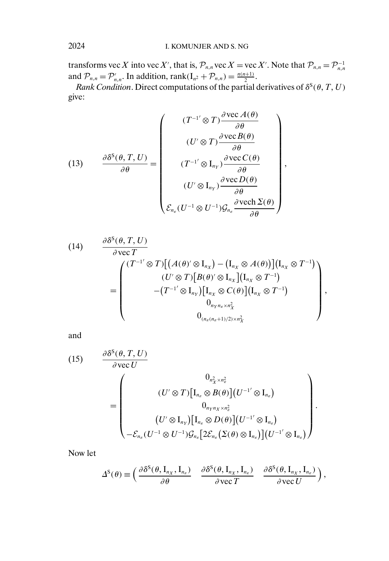transforms vec X into vec X', that is,  $\mathcal{P}_{n,n}$  vec X = vec X'. Note that  $\mathcal{P}_{n,n} = \mathcal{P}_{n,n}^{-1}$ and  $\mathcal{P}_{n,n} = \mathcal{P}'_{n,n}$ . In addition, rank $(I_{n^2} + \mathcal{P}_{n,n}) = \frac{n(n+1)}{2}$ .

*Rank Condition*. Direct computations of the partial derivatives of  $\delta^s(\theta, T, U)$ give:

(13) 
$$
\frac{\partial \delta^{S}(\theta, T, U)}{\partial \theta} = \begin{pmatrix} (T^{-1'} \otimes T) \frac{\partial \text{vec} A(\theta)}{\partial \theta} \\ (U' \otimes T) \frac{\partial \text{vec} B(\theta)}{\partial \theta} \\ (T^{-1'} \otimes I_{n_{Y}}) \frac{\partial \text{vec} C(\theta)}{\partial \theta} \\ (U' \otimes I_{n_{Y}}) \frac{\partial \text{vec} C(\theta)}{\partial \theta} \\ (U' \otimes I_{n_{Y}}) \frac{\partial \text{vec} D(\theta)}{\partial \theta} \\ \mathcal{E}_{n_{\varepsilon}} (U^{-1} \otimes U^{-1}) \mathcal{G}_{n_{\varepsilon}} \frac{\partial \text{vech} \Sigma(\theta)}{\partial \theta} \end{pmatrix},
$$

(14) 
$$
\frac{\partial \delta^{S}(\theta, T, U)}{\partial \text{ vec } T}
$$
\n
$$
= \begin{pmatrix}\n(T^{-1'} \otimes T) \big[ (A(\theta)^{\prime} \otimes I_{n_{X}}) - (I_{n_{X}} \otimes A(\theta)) \big] (I_{n_{X}} \otimes T^{-1}) \\
(U^{\prime} \otimes T) \big[ B(\theta)^{\prime} \otimes I_{n_{X}} \big] (I_{n_{X}} \otimes T^{-1}) \\
-(T^{-1'} \otimes I_{n_{Y}}) \big[ I_{n_{X}} \otimes C(\theta) \big] (I_{n_{X}} \otimes T^{-1}) \\
0_{n_{Y}n_{\varepsilon} \times n_{X}^{2}} \\
0_{(n_{\varepsilon}(n_{\varepsilon}+1)/2) \times n_{X}^{2}}\n\end{pmatrix},
$$

and

(15) 
$$
\frac{\partial \delta^{S}(\theta, T, U)}{\partial \text{vec } U}
$$
\n
$$
= \begin{pmatrix}\n0_{n_X^2 \times n_e^2} & 0_{n_{\chi}^2 \times n_e^2} \\
(U' \otimes T)[I_{n_e} \otimes B(\theta)](U^{-1'} \otimes I_{n_e}) \\
0_{n_Y n_X \times n_e^2} & (U' \otimes I_{n_Y})[I_{n_e} \otimes D(\theta)](U^{-1'} \otimes I_{n_e}) \\
-\mathcal{E}_{n_e}(U^{-1} \otimes U^{-1})\mathcal{G}_{n_e}[2\mathcal{E}_{n_e}(\Sigma(\theta) \otimes I_{n_e})](U^{-1'} \otimes I_{n_e})\n\end{pmatrix}.
$$

Now let

$$
\Delta^{S}(\theta) \equiv \begin{pmatrix} \frac{\partial \delta^{S}(\theta, I_{n_X}, I_{n_{\varepsilon}})}{\partial \theta} & \frac{\partial \delta^{S}(\theta, I_{n_X}, I_{n_{\varepsilon}})}{\partial \text{ vec } T & \frac{\partial \delta^{S}(\theta, I_{n_X}, I_{n_{\varepsilon}})}{\partial \text{ vec } U} \end{pmatrix},
$$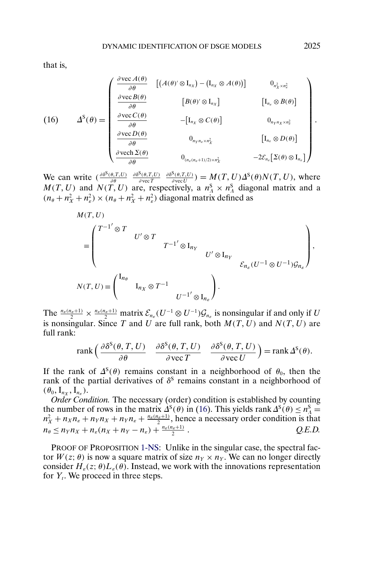that is,

(16) 
$$
\Delta^{S}(\theta) = \begin{pmatrix}\n\frac{\partial \text{vec} A(\theta)}{\partial \theta} & \left[ (A(\theta)^{\prime} \otimes I_{n_{X}}) - (I_{n_{X}} \otimes A(\theta)) \right] & 0_{n_{X}^{2} \times n_{z}^{2}} \\
\frac{\partial \text{vec} B(\theta)}{\partial \theta} & \left[ B(\theta)^{\prime} \otimes I_{n_{X}} \right] & \left[ I_{n_{\varepsilon}} \otimes B(\theta) \right] \\
\frac{\partial \text{vec} C(C(\theta)}{\partial \theta} & - \left[ I_{n_{X}} \otimes C(\theta) \right] & 0_{n_{Y}n_{X} \times n_{\varepsilon}^{2}} \\
\frac{\partial \text{vec} D(\theta)}{\partial \theta} & 0_{n_{Y}n_{\varepsilon} \times n_{X}^{2}} & \left[ I_{n_{\varepsilon}} \otimes D(\theta) \right] \\
\frac{\partial \text{vec} D(\theta)}{\partial \theta} & 0_{(n_{\varepsilon}(n_{\varepsilon}+1)/2) \times n_{X}^{2}} & -2\mathcal{E}_{n_{\varepsilon}} \left[ \Sigma(\theta) \otimes I_{n_{\varepsilon}} \right] \n\end{pmatrix}.
$$

We can write  $\left(\frac{\partial \delta^{\mathcal{S}}(\theta, T, U)}{\partial \theta}\right)$  $\partial \delta^{\sf S}(\theta,T,U)$  $\partial$  vec  $T$  $\frac{\partial \delta^S(\theta, T, U)}{\partial \text{vec } U}$  =  $M(T, U) \Delta^S(\theta) N(T, U)$ , where  $M(T, U)$  and  $N(T, U)$  are, respectively, a  $n_A^S \times n_A^S$  diagonal matrix and a  $(n_{\theta} + n_X^2 + n_{\epsilon}^2) \times (n_{\theta} + n_X^2 + n_{\epsilon}^2)$  diagonal matrix defined as

$$
\begin{split} &M(T,U)\\ &=\begin{pmatrix}T^{-1'}\otimes T & & & \\ &U'\otimes T & & \\ & &U'\otimes \mathrm{I}_{n_Y}\\ & & & U'\otimes \mathrm{I}_{n_Y}\\ &N(T,U)=\begin{pmatrix}\mathrm{I}_{n_\theta} & & & \\ & \mathrm{I}_{n_X}\otimes T^{-1} & & \\ & & U^{-1'}\otimes \mathrm{I}_{n_\varepsilon}\end{pmatrix}.\end{split}
$$

The  $\frac{n_e(n_e+1)}{2} \times \frac{n_e(n_e+1)}{2}$  matrix  $\mathcal{E}_{n_e}(U^{-1} \otimes U^{-1}) \mathcal{G}_{n_e}$  is nonsingular if and only if U is nonsingular. Since T and U are full rank, both  $M(T, U)$  and  $N(T, U)$  are full rank:

$$
rank\left(\frac{\partial \delta^{S}(\theta, T, U)}{\partial \theta} \quad \frac{\partial \delta^{S}(\theta, T, U)}{\partial vec T} \quad \frac{\partial \delta^{S}(\theta, T, U)}{\partial vec U}\right) = rank \Delta^{S}(\theta).
$$

If the rank of  $\Delta^{s}(\theta)$  remains constant in a neighborhood of  $\theta_0$ , then the rank of the partial derivatives of  $\delta^s$  remains constant in a neighborhood of  $(\theta_0, I_{n_X}, I_{n_{\varepsilon}}).$ 

*Order Condition.* The necessary (order) condition is established by counting the number of rows in the matrix  $\Delta^{S}(\theta)$  in (16). This yields rank  $\Delta^{S}(\theta) \le n_A^S$  $n_X^2 + n_X n_{\varepsilon} + n_Y n_X + n_Y n_{\varepsilon} + \frac{n_{\varepsilon}(n_{\varepsilon}+1)}{2}$ , hence a necessary order condition is that  $n_{\theta} \le n_Y n_X + n_{\varepsilon}(n_X + n_Y - n_{\varepsilon}) + \frac{n_{\varepsilon}(n_{\varepsilon}+1)}{2}$ . *Q.E.D.* 

PROOF OF PROPOSITION [1-NS:](#page-14-0) Unlike in the singular case, the spectral factor  $W(z; \theta)$  is now a square matrix of size  $n_Y \times n_Y$ . We can no longer directly consider  $H_{\varepsilon}(z; \theta)L_{\varepsilon}(\theta)$ . Instead, we work with the innovations representation for  $Y_t$ . We proceed in three steps.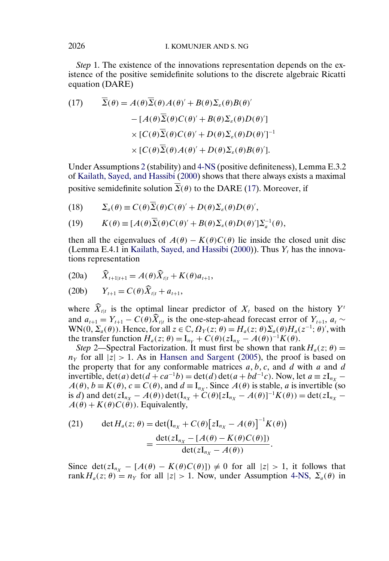*Step* 1. The existence of the innovations representation depends on the existence of the positive semidefinite solutions to the discrete algebraic Ricatti equation (DARE)

(17) 
$$
\overline{\Sigma}(\theta) = A(\theta)\overline{\Sigma}(\theta)A(\theta)' + B(\theta)\Sigma_{\varepsilon}(\theta)B(\theta)'
$$

$$
- [A(\theta)\overline{\Sigma}(\theta)C(\theta)' + B(\theta)\Sigma_{\varepsilon}(\theta)D(\theta)'] \times [C(\theta)\overline{\Sigma}(\theta)C(\theta)' + D(\theta)\Sigma_{\varepsilon}(\theta)D(\theta)']^{-1}
$$

$$
\times [C(\theta)\overline{\Sigma}(\theta)A(\theta)' + D(\theta)\Sigma_{\varepsilon}(\theta)B(\theta)'].
$$

Under Assumptions [2](#page-5-0) (stability) and [4-NS](#page-13-0) (positive definiteness), Lemma E.3.2 of [Kailath, Sayed, and Hassibi](#page-37-0) [\(2000\)](#page-37-0) shows that there always exists a maximal positive semidefinite solution  $\overline{\Sigma}(\theta)$  to the DARE (17). Moreover, if

(18)  $\Sigma_a(\theta) \equiv C(\theta) \overline{\Sigma}(\theta) C(\theta)' + D(\theta) \Sigma_{\varepsilon}(\theta) D(\theta)',$ 

(19) 
$$
K(\theta) \equiv [A(\theta)\overline{\Sigma}(\theta)C(\theta)' + B(\theta)\Sigma_{\varepsilon}(\theta)D(\theta)']\Sigma_a^{-1}(\theta),
$$

then all the eigenvalues of  $A(\theta) - K(\theta)C(\theta)$  lie inside the closed unit disc (Lemma E.4.1 in [Kailath, Sayed, and Hassibi](#page-37-0) [\(2000\)](#page-37-0)). Thus  $Y_t$  has the innovations representation

(20a)  $\widehat{X}_{t+1|t+1} = A(\theta)\widehat{X}_{t|t} + K(\theta)a_{t+1},$ 

(20b) 
$$
Y_{t+1} = C(\theta) \widehat{X}_{t|t} + a_{t+1},
$$

where  $\widehat{X}_{t|t}$  is the optimal linear predictor of  $X_t$  based on the history  $Y^t$ and  $a_{t+1} = Y_{t+1} - C(\theta)\hat{X}_{t|t}$  is the one-step-ahead forecast error of  $Y_{t+1}$ ,  $a_t \sim$  $WN(0, \Sigma_a(\theta))$ . Hence, for all  $z \in \mathbb{C}$ ,  $\Omega_Y(z; \theta) = H_a(z; \theta) \Sigma_a(\theta) H_a(z^{-1}; \theta)$ , with the transfer function  $H_a(z; \theta) = I_{n_Y} + C(\theta)(zI_{n_X} - A(\theta))^{-1}K(\theta)$ .

*Step* 2—Spectral Factorization. It must first be shown that rank  $H_a(z; \theta)$  =  $n<sub>Y</sub>$  for all  $|z| > 1$ . As in [Hansen and Sargent](#page-37-0) [\(2005\)](#page-37-0), the proof is based on the property that for any conformable matrices  $a, b, c$ , and  $d$  with  $a$  and  $d$ invertible,  $\det(a)\det(d + ca^{-1}b) = \det(d)\det(a + bd^{-1}c)$ . Now, let  $a \equiv zI_{n_X}$  –  $A(\theta)$ ,  $b \equiv K(\theta)$ ,  $c \equiv C(\theta)$ , and  $d \equiv I_{nx}$ . Since  $A(\theta)$  is stable, a is invertible (so is d) and  $\det(zI_{n_X} - A(\theta)) \det(I_{n_X} + C(\theta)[zI_{n_X} - A(\theta)]^{-1}K(\theta)) = \det(zI_{n_X} A(\theta) + K(\theta)C(\theta)$ ). Equivalently,

(21) 
$$
\det H_a(z; \theta) = \det(\mathbf{I}_{n_X} + C(\theta) [z\mathbf{I}_{n_X} - A(\theta)]^{-1} K(\theta))
$$

$$
= \frac{\det(z\mathbf{I}_{n_X} - [A(\theta) - K(\theta)C(\theta)])}{\det(z\mathbf{I}_{n_X} - A(\theta))}.
$$

Since det(zI<sub>nX</sub> – [A( $\theta$ ) – K( $\theta$ )C( $\theta$ )])  $\neq$  0 for all |z| > 1, it follows that rank  $H_a(z; \theta) = n_Y$  for all  $|z| > 1$ . Now, under Assumption [4-NS,](#page-13-0)  $\Sigma_a(\theta)$  in

<span id="page-32-0"></span>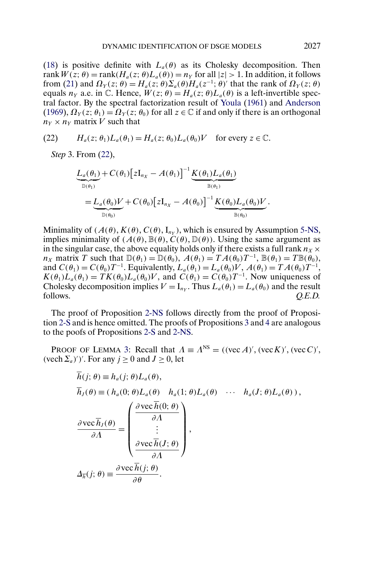[\(18\)](#page-32-0) is positive definite with  $L_a(\theta)$  as its Cholesky decomposition. Then rank  $W(z; \theta) = \text{rank}(H_a(z; \theta)L_a(\theta)) = n_Y$  for all  $|z| > 1$ . In addition, it follows from [\(21\)](#page-32-0) and  $\Omega_Y(z;\theta) = H_a(z;\theta) \Sigma_a(\theta) H_a(z^{-1};\theta)'$  that the rank of  $\Omega_Y(z;\theta)$ equals  $n_Y$  a.e. in C. Hence,  $W(z; \theta) = H_a(z; \theta) L_a(\theta)$  is a left-invertible spectral factor. By the spectral factorization result of [Youla](#page-38-0) [\(1961\)](#page-38-0) and [Anderson](#page-36-0) [\(1969\)](#page-36-0),  $\Omega_Y(z; \theta_1) = \Omega_Y(z; \theta_0)$  for all  $z \in \mathbb{C}$  if and only if there is an orthogonal  $n_Y \times n_Y$  matrix V such that

(22) 
$$
H_a(z; \theta_1)L_a(\theta_1) = H_a(z; \theta_0)L_a(\theta_0)V \text{ for every } z \in \mathbb{C}.
$$

*Step* 3. From (22),

$$
\underbrace{L_a(\theta_1)}_{\mathbb{D}(\theta_1)} + C(\theta_1) \Big[zI_{n_X} - A(\theta_1)\Big]^{-1} \underbrace{K(\theta_1) L_a(\theta_1)}_{\mathbb{B}(\theta_1)} \n= \underbrace{L_a(\theta_0)V}_{\mathbb{D}(\theta_0)} + C(\theta_0) \Big[zI_{n_X} - A(\theta_0)\Big]^{-1} \underbrace{K(\theta_0) L_a(\theta_0)V}_{\mathbb{B}(\theta_0)}.
$$

Minimality of  $(A(\theta), K(\theta), C(\theta), I_{nv})$ , which is ensured by Assumption [5-NS,](#page-13-0) implies minimality of  $(A(\theta), \mathbb{B}(\theta), C(\theta), \mathbb{D}(\theta))$ . Using the same argument as in the singular case, the above equality holds only if there exists a full rank  $n_x \times$  $n_X$  matrix T such that  $\mathbb{D}(\theta_1) = \mathbb{D}(\theta_0)$ ,  $A(\theta_1) = TA(\theta_0)T^{-1}$ ,  $\mathbb{B}(\theta_1) = T\mathbb{B}(\theta_0)$ , and  $C(\theta_1) = C(\theta_0)T^{-1}$ . Equivalently,  $L_a(\theta_1) = L_a(\theta_0)V$ ,  $A(\theta_1) = TA(\theta_0)T^{-1}$ ,  $K(\theta_1)L_a(\theta_1) = TK(\theta_0)L_a(\theta_0)V$ , and  $C(\theta_1) = C(\theta_0)T^{-1}$ . Now uniqueness of Cholesky decomposition implies  $V = I_{n_Y}$ . Thus  $L_a(\theta_1) = L_a(\theta_0)$  and the result follows. *O.E.D.* follows.  $Q.E.D.$ 

The proof of Proposition [2-NS](#page-15-0) follows directly from the proof of Proposition [2-S](#page-11-0) and is hence omitted. The proofs of Propositions [3](#page-17-0) and [4](#page-18-0) are analogous to the poofs of Propositions [2-S](#page-11-0) and [2-NS.](#page-15-0)

PROOF OF LEMMA [3:](#page-19-0) Recall that  $\Lambda = \Lambda^{NS} = ((\text{vec } A)'$ ,  $(\text{vec } K)'$ ,  $(\text{vec } C)'$ , (vech  $\Sigma_a$ )')'. For any  $j \ge 0$  and  $J \ge 0$ , let

$$
h(j; \theta) \equiv h_a(j; \theta) L_a(\theta),
$$
  
\n
$$
\overline{h}_J(\theta) \equiv (h_a(0; \theta) L_a(\theta) \quad h_a(1; \theta) L_a(\theta) \quad \cdots \quad h_a(J; \theta) L_a(\theta)),
$$
  
\n
$$
\frac{\partial \text{vec } \overline{h}_J(\theta)}{\partial \Lambda} = \begin{pmatrix} \frac{\partial \text{vec } \overline{h}(0; \theta)}{\partial \Lambda} \\ \vdots \\ \frac{\partial \text{vec } \overline{h}(J; \theta)}{\partial \Lambda} \end{pmatrix},
$$
  
\n
$$
\Delta_{\overline{h}}(j; \theta) \equiv \frac{\partial \text{vec } \overline{h}(j; \theta)}{\partial \theta}.
$$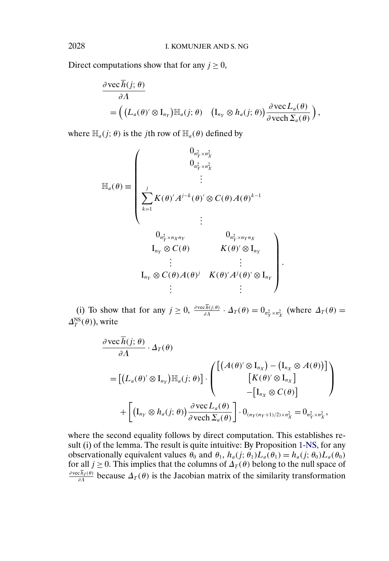Direct computations show that for any  $j \geq 0$ ,

$$
\frac{\partial \text{vec} h(j; \theta)}{\partial \Lambda} = \left( \left( L_a(\theta)' \otimes I_{n_Y} \right) \mathbb{H}_a(j; \theta) \left( I_{n_Y} \otimes h_a(j; \theta) \right) \frac{\partial \text{vec} L_a(\theta)}{\partial \text{vec} \, \Sigma_a(\theta)} \right),
$$

where  $\mathbb{H}_a(j; \theta)$  is the jth row of  $\mathbb{H}_a(\theta)$  defined by

$$
\mathbb{H}_{a}(\theta) \equiv \begin{pmatrix}\n0_{n_{Y}^{2} \times n_{X}^{2}} & & & \\
0_{n_{Y}^{2} \times n_{X}^{2}} & & \\
& \vdots & & \\
\sum_{k=1}^{j} K(\theta)^{j} A^{j-k}(\theta)^{j} \otimes C(\theta) A(\theta)^{k-1} & \\
& \vdots & \\
0_{n_{Y}^{2} \times n_{X} n_{Y}} & 0_{n_{Y}^{2} \times n_{Y} n_{X}} & \\
& I_{n_{Y}} \otimes C(\theta) & K(\theta)^{j} \otimes I_{n_{Y}} & \\
& \vdots & & \vdots & \\
I_{n_{Y}} \otimes C(\theta) A(\theta)^{j} & K(\theta)^{j} A^{j}(\theta)^{j} \otimes I_{n_{Y}} & \\
& \vdots & & \vdots & \\
I_{n_{Y}} \otimes C(\theta) A(\theta)^{j} & K(\theta)^{j} A^{j}(\theta)^{j} \otimes I_{n_{Y}} & \\
& \vdots & & \vdots & \\
I_{n_{Y}} \otimes C(\theta)^{j} A(\theta)^{j} & K(\theta)^{j} A^{j}(\theta)^{j} \otimes I_{n_{Y}} & \\
& \vdots & & \vdots & \\
I_{n_{Y}} \otimes C(\theta)^{j} A(\theta)^{j} & K(\theta)^{j} A^{j}(\theta)^{j} \otimes I_{n_{Y}} & \\
& \vdots & & \vdots & \\
I_{n_{Y}} \otimes C(\theta)^{j} A(\theta)^{j} & K(\theta)^{j} A^{j}(\theta)^{j} \otimes I_{n_{Y}} & \\
& \vdots & & \vdots & \\
I_{n_{Y}} \otimes C(\theta)^{j} A(\theta)^{j} & K(\theta)^{j} A(\theta)^{j} \otimes I_{n_{Y}} & \\
& \vdots & & \vdots & \\
I_{n_{Y}} \otimes C(\theta)^{j} A(\theta)^{j} & K(\theta)^{j} A(\theta)^{j} \otimes I_{n_{Y}} & \\
& \vdots & & \vdots & \\
I_{n_{Y}} \otimes C(\theta)^{j} A(\theta)^{j} & K(\theta)^{j} A(\theta)^{j} \otimes I_{n_{Y}} & \\
& \vdots & & \vdots & \\
I_{n_{Y}} \otimes C(\theta)^{j} A(\theta)^{j} & K(\theta)^{j} A(\theta)^{j} \otimes I_{n_{Y}} & \\
& \vdots & & \vdots & \\
I_{n
$$

(i) To show that for any  $j \ge 0$ ,  $\frac{\partial \text{vec} h(j;\theta)}{\partial A} \cdot \Delta_T(\theta) = 0$ <sub>n<sup>2</sup></sup><sub>*x*</sub> × n<sub>2</sub><sup>2</sup></sup> (where  $\Delta_T(\theta) =$ </sub>  $\Delta_T^{\text{NS}}(\theta)$ ), write

 $\ddot{\phantom{0}}$ 

$$
\frac{\partial \text{vec} h(j; \theta)}{\partial \Lambda} \cdot \Delta_T(\theta)
$$
\n
$$
= \left[ (L_a(\theta)' \otimes I_{n_Y}) \mathbb{H}_a(j; \theta) \right] \cdot \begin{pmatrix} \left[ (A(\theta)' \otimes I_{n_X}) - (I_{n_X} \otimes A(\theta)) \right] \\ \left[ K(\theta)' \otimes I_{n_X} \right] \\ \left[ K(\theta)' \otimes I_{n_X} \right] \\ - \left[ I_{n_X} \otimes C(\theta) \right] \end{pmatrix}
$$
\n
$$
+ \left[ (I_{n_Y} \otimes h_a(j; \theta)) \frac{\partial \text{vec} L_a(\theta)}{\partial \text{vec} \Lambda \Sigma_a(\theta)} \right] \cdot 0_{(n_Y(n_Y+1)/2) \times n_X^2} = 0_{n_Y^2 \times n_X^2},
$$

where the second equality follows by direct computation. This establishes result (i) of the lemma. The result is quite intuitive: By Proposition [1-NS,](#page-14-0) for any observationally equivalent values  $\theta_0$  and  $\theta_1$ ,  $h_a(j; \theta_1)L_a(\theta_1) = h_a(j; \theta_0)L_a(\theta_0)$ for all  $j \ge 0$ . This implies that the columns of  $\Delta_T(\theta)$  belong to the null space of  $\frac{\partial \text{vec}h_J(\theta)}{\partial \Lambda}$  because  $\Delta_T(\theta)$  is the Jacobian matrix of the similarity transformation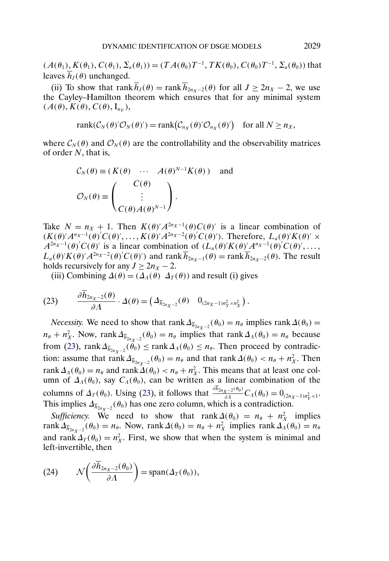<span id="page-35-0"></span> $(A(\theta_1), K(\theta_1), C(\theta_1), \Sigma_a(\theta_1)) = (TA(\theta_0)T^{-1}, TK(\theta_0), C(\theta_0)T^{-1}, \Sigma_a(\theta_0))$  that leaves  $\overline{h}_I(\theta)$  unchanged.

(ii) To show that rank  $\overline{h}_J(\theta) = \text{rank } \overline{h}_{2n_X - 2}(\theta)$  for all  $J \ge 2n_X - 2$ , we use the Cayley–Hamilton theorem which ensures that for any minimal system  $(A(\theta), K(\theta), C(\theta), I_{nv}),$ 

$$
rank(\mathcal{C}_N(\theta)'\mathcal{O}_N(\theta')) = rank(\mathcal{C}_{n_X}(\theta)\mathcal{O}_{n_X}(\theta')) \text{ for all } N \ge n_X,
$$

where  $\mathcal{C}_{N}(\theta)$  and  $\mathcal{O}_{N}(\theta)$  are the controllability and the observability matrices of order N, that is,

$$
C_N(\theta) \equiv (K(\theta) \cdots A(\theta)^{N-1} K(\theta)) \text{ and}
$$

$$
O_N(\theta) \equiv \begin{pmatrix} C(\theta) \\ \vdots \\ C(\theta) A(\theta)^{N-1} \end{pmatrix}.
$$

Take  $N = n_X + 1$ . Then  $K(\theta) / A^{2n_X - 1}(\theta) C(\theta)$  is a linear combination of  $(K(\theta)^\prime A^{n_X-1}(\theta)^\prime C(\theta), \ldots, K(\theta)^\prime A^{2n_X-2}(\theta)^\prime C(\theta)^\prime)$ . Therefore,  $L_a(\theta)^\prime K(\theta)^\prime \times$  $A^{2n_X-1}(\theta)$ ' $C(\theta)$ ' is a linear combination of  $(L_a(\theta)K(\theta)A^{n_X-1}(\theta)C(\theta)$ ',...  $L_a(\theta)'K(\theta)'A^{2n_X-2}(\theta)'C(\theta)'$  and rank  $\overline{h}_{2n_X-1}(\theta) = \text{rank } \overline{h}_{2n_X-2}(\theta)$ . The result holds recursively for any  $J \geq 2n_X - 2$ .

(iii) Combining  $\Delta(\theta) = (\Delta_A(\theta) \ \Delta_T(\theta))$  and result (i) gives

$$
(23) \qquad \frac{\partial h_{2n_X-2}(\theta)}{\partial \Lambda} \cdot \Delta(\theta) = \left(\varDelta_{\overline{h}_{2n_X-2}}(\theta) \quad 0_{(2n_X-1)n_Y^2 \times n_X^2}\right).
$$

*Necessity.* We need to show that  $\text{rank }\Delta_{\overline{h}_{2n_{X}-2}}(\theta_0) = n_{\theta}$  implies  $\text{rank }\Delta(\theta_0) =$  $n_{\theta} + n_X^2$ . Now, rank  $\Delta_{\overline{h}_{2n_X-2}}(\theta_0) = n_{\theta}$  implies that rank  $\Delta_A(\theta_0) = n_{\theta}$  because from (23), rank  $\Delta_{\bar{h}_{2n_X-2}}(\theta_0) \leq \text{rank }\Delta_\Lambda(\theta_0) \leq n_\theta$ . Then proceed by contradiction: assume that rank  $\Delta_{\overline{h}_{2n_X-2}}(\theta_0) = n_\theta$  and that rank  $\Delta(\theta_0) < n_\theta + n_X^2$ . Then rank  $\Delta_A(\theta_0) = n_\theta$  and rank  $\Delta(\theta_0) < n_\theta + n_X^2$ . This means that at least one column of  $\Delta_{\Lambda}(\theta_0)$ , say  $C_{\Lambda}(\theta_0)$ , can be written as a linear combination of the columns of  $\Delta_T(\theta_0)$ . Using (23), it follows that  $\frac{\partial h_{2n_X-2}(\theta_0)}{\partial \Lambda} C_{\Lambda}(\theta_0) = 0_{(2n_X-1)n_Y^2 \times 1}$ . This implies  $\Delta_{\overline{h}_{2n_X-2}}(\theta_0)$  has one zero column, which is a contradiction.

*Sufficiency*. We need to show that  $\text{rank}\Delta(\theta_0) = n_\theta + n_X^2$  implies rank  $\Delta_{\bar{h}_{2n_X-2}}(\theta_0) = n_\theta$ . Now, rank  $\Delta(\theta_0) = n_\theta + n_X^2$  implies rank  $\Delta_A(\theta_0) = n_\theta$ and rank  $\Delta_T(\theta_0) = n_X^2$ . First, we show that when the system is minimal and left-invertible, then

(24) 
$$
\mathcal{N}\left(\frac{\partial \overline{h}_{2n_X-2}(\theta_0)}{\partial \Lambda}\right) = \mathrm{span}(\Delta_T(\theta_0)),
$$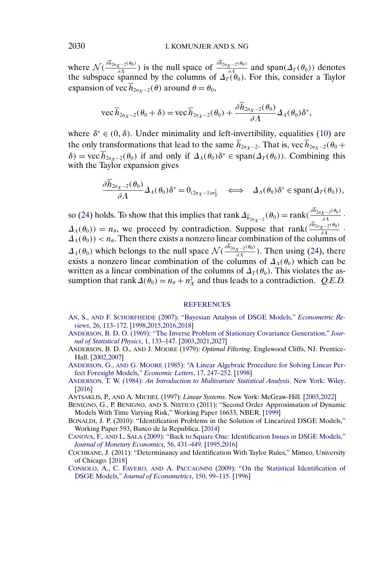<span id="page-36-0"></span>where  $\mathcal{N}(\frac{\partial h_{2n_{X}-2}(\theta_{0})}{\partial \Lambda})$  is the null space of  $\frac{\partial h_{2n_{X}-2}(\theta_{0})}{\partial \Lambda}$  and span $(\Delta_{T}(\theta_{0}))$  denotes the subspace spanned by the columns of  $\Delta_T(\theta_0)$ . For this, consider a Taylor expansion of vec  $\overline{h}_{2n_X - 2}(\theta)$  around  $\theta = \theta_0$ ,

$$
\text{vec}\overline{h}_{2n_X-2}(\theta_0+\delta)=\text{vec}\overline{h}_{2n_X-2}(\theta_0)+\frac{\partial \overline{h}_{2n_X-2}(\theta_0)}{\partial \Lambda}\Delta_{\Lambda}(\theta_0)\delta^*,
$$

where  $\delta^* \in (0, \delta)$ . Under minimality and left-invertibility, equalities [\(10\)](#page-14-0) are the only transformations that lead to the same  $\overline{h}_{2n_{x-2}}$ . That is, vec  $\overline{h}_{2n_{x-2}}(\theta_0 +$  $\delta$ ) = vec  $\overline{h}_{2n \times 2}(\theta_0)$  if and only if  $\Delta_A(\theta_0) \delta^* \in \text{span}(\Delta_T(\theta_0))$ . Combining this with the Taylor expansion gives

$$
\frac{\partial \overline{h}_{2n_X-2}(\theta_0)}{\partial \Lambda} \Delta_{\Lambda}(\theta_0) \delta^* = 0_{(2n_X-1)n_Y^2} \iff \Delta_{\Lambda}(\theta_0) \delta^* \in \text{span}(\Delta_T(\theta_0)),
$$

so [\(24\)](#page-35-0) holds. To show that this implies that rank  $\Delta_{\overline{h}_{2n_X-2}}(\theta_0) = \text{rank}(\frac{\partial h_{2n_X-2}(\theta_0)}{\partial \Lambda} \cdot \overline{\Lambda_{2n_X-2}(\theta_0)}$  $\Delta_{\Lambda}(\theta_0) = n_{\theta}$ , we proceed by contradiction. Suppose that rank $\left(\frac{\partial h_{2n_X-2}(\theta_0)}{\partial \Lambda}\right)$ .  $\Delta_A(\theta_0)) < n_\theta$ . Then there exists a nonzero linear combination of the columns of  $\Delta_A(\theta_0)$  which belongs to the null space  $\mathcal{N}(\frac{\partial h_{2n_X-2}(\theta_0)}{\partial A})$ . Then using [\(24\)](#page-35-0), there exists a nonzero linear combination of the columns of  $\Delta_A(\theta_0)$  which can be written as a linear combination of the columns of  $\Delta_T(\theta_0)$ . This violates the assumption that rank  $\Delta(\theta_0) = n_\theta + n_X^2$  and thus leads to a contradiction. *Q.E.D.* 

#### **[REFERENCES](http://www.e-publications.org/srv/ecta/linkserver/setprefs?rfe_id=urn:sici%2F0012-9682%28201111%2979%3A6%3C1995%3ADIODSG%3E2.0.CO%3B2-Z)**

- AN, S., AND F. SCHORFHEIDE [\(2007\): "Bayesian Analysis of DSGE Models,"](http://www.e-publications.org/srv/ecta/linkserver/openurl?rft_dat=bib:1/anschorfheide&rfe_id=urn:sici%2F0012-9682%28201111%2979%3A6%3C1995%3ADIODSG%3E2.0.CO%3B2-Z) *Econometric Reviews*[, 26, 113–172.](http://www.e-publications.org/srv/ecta/linkserver/openurl?rft_dat=bib:1/anschorfheide&rfe_id=urn:sici%2F0012-9682%28201111%2979%3A6%3C1995%3ADIODSG%3E2.0.CO%3B2-Z) [\[1998,2015](#page-3-0)[,2016](#page-20-0)[,2018\]](#page-21-0)
- [ANDERSON, B. D. O. \(1969\): "The Inverse Problem of Stationary Covariance Generation,"](http://www.e-publications.org/srv/ecta/linkserver/openurl?rft_dat=bib:2/anderson69&rfe_id=urn:sici%2F0012-9682%28201111%2979%3A6%3C1995%3ADIODSG%3E2.0.CO%3B2-Z) *Jour[nal of Statistical Physics](http://www.e-publications.org/srv/ecta/linkserver/openurl?rft_dat=bib:2/anderson69&rfe_id=urn:sici%2F0012-9682%28201111%2979%3A6%3C1995%3ADIODSG%3E2.0.CO%3B2-Z)*, 1, 133–147. [\[2003,2021](#page-8-0)[,2027\]](#page-26-0)
- ANDERSON, B. D. O., AND J. MOORE (1979): *Optimal Filtering*. Englewood Cliffs, NJ: Prentice-Hall. [\[2002,2007\]](#page-7-0)
- ANDERSON, G., AND G. MOORE [\(1985\): "A Linear Algebraic Procedure for Solving Linear Per](http://www.e-publications.org/srv/ecta/linkserver/openurl?rft_dat=bib:4/andersonmoore&rfe_id=urn:sici%2F0012-9682%28201111%2979%3A6%3C1995%3ADIODSG%3E2.0.CO%3B2-Z)[fect Foresight Models,"](http://www.e-publications.org/srv/ecta/linkserver/openurl?rft_dat=bib:4/andersonmoore&rfe_id=urn:sici%2F0012-9682%28201111%2979%3A6%3C1995%3ADIODSG%3E2.0.CO%3B2-Z) *Economic Letters*, 17, 247–252. [\[1998\]](#page-3-0)
- ANDERSON, T. W. (1984): *[An Introduction to Multivariate Statistical Analysis](http://www.e-publications.org/srv/ecta/linkserver/openurl?rft_dat=bib:5/anderson84&rfe_id=urn:sici%2F0012-9682%28201111%2979%3A6%3C1995%3ADIODSG%3E2.0.CO%3B2-Z)*. New York: Wiley. [\[2016\]](#page-21-0)
- ANTSAKLIS, P., AND A. MICHEL (1997): *Linear Systems*. New York: McGraw-Hill. [\[2003,2022\]](#page-8-0)
- BENIGNO, G., P. BENIGNO, AND S. NISTICO (2011): "Second Order Approximation of Dynamic Models With Time Varying Risk," Working Paper 16633, NBER. [\[1999\]](#page-4-0)
- BONALDI, J. P. (2010): "Identification Problems in the Solution of Linearized DSGE Models," Working Paper 593, Banco de la Republica. [\[2014\]](#page-19-0)
- CANOVA, F., AND L. SALA [\(2009\): "Back to Square One: Identification Issues in DSGE Models,"](http://www.e-publications.org/srv/ecta/linkserver/openurl?rft_dat=bib:9/canova2009&rfe_id=urn:sici%2F0012-9682%28201111%2979%3A6%3C1995%3ADIODSG%3E2.0.CO%3B2-Z) *[Journal of Monetary Economics](http://www.e-publications.org/srv/ecta/linkserver/openurl?rft_dat=bib:9/canova2009&rfe_id=urn:sici%2F0012-9682%28201111%2979%3A6%3C1995%3ADIODSG%3E2.0.CO%3B2-Z)*, 56, 431–449. [\[1995,2016\]](#page-0-0)
- COCHRANE, J. (2011): "Determinancy and Identification With Taylor Rules," Mimeo, University of Chicago. [\[2018\]](#page-23-0)
- CONSOLO, A., C. FAVERO, AND A. PACCAGNINI [\(2009\): "On the Statistical Identification of](http://www.e-publications.org/srv/ecta/linkserver/openurl?rft_dat=bib:11/consolofaveropaccagnini&rfe_id=urn:sici%2F0012-9682%28201111%2979%3A6%3C1995%3ADIODSG%3E2.0.CO%3B2-Z) DSGE Models," *[Journal of Econometrics](http://www.e-publications.org/srv/ecta/linkserver/openurl?rft_dat=bib:11/consolofaveropaccagnini&rfe_id=urn:sici%2F0012-9682%28201111%2979%3A6%3C1995%3ADIODSG%3E2.0.CO%3B2-Z)*, 150, 99–115. [\[1996\]](#page-1-0)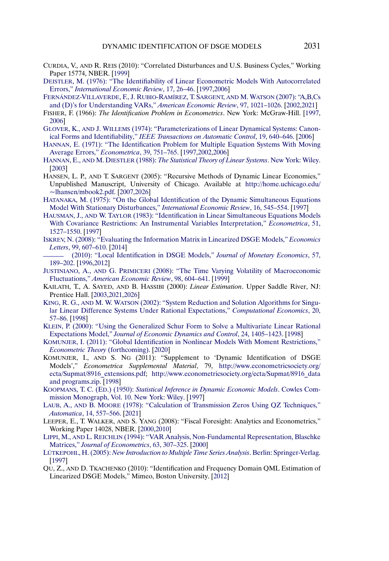- <span id="page-37-0"></span>CURDIA, V., AND R. REIS (2010): "Correlated Disturbances and U.S. Business Cycles," Working Paper 15774, NBER. [\[1999\]](#page-4-0)
- [DEISTLER, M. \(1976\): "The Identifiability of Linear Econometric Models With Autocorrelated](http://www.e-publications.org/srv/ecta/linkserver/openurl?rft_dat=bib:13/deistlerier76&rfe_id=urn:sici%2F0012-9682%28201111%2979%3A6%3C1995%3ADIODSG%3E2.0.CO%3B2-Z) Errors," *[International Economic Review](http://www.e-publications.org/srv/ecta/linkserver/openurl?rft_dat=bib:13/deistlerier76&rfe_id=urn:sici%2F0012-9682%28201111%2979%3A6%3C1995%3ADIODSG%3E2.0.CO%3B2-Z)*, 17, 26–46. [\[1997,2006\]](#page-2-0)
- [FERNÁNDEZ-VILLAVERDE, F., J. RUBIO-RAMÍREZ, T. SARGENT,](http://www.e-publications.org/srv/ecta/linkserver/openurl?rft_dat=bib:14/frsw&rfe_id=urn:sici%2F0012-9682%28201111%2979%3A6%3C1995%3ADIODSG%3E2.0.CO%3B2-Z) AND M. WATSON (2007): "A,B,Cs [and \(D\)'s for Understanding VARs,"](http://www.e-publications.org/srv/ecta/linkserver/openurl?rft_dat=bib:14/frsw&rfe_id=urn:sici%2F0012-9682%28201111%2979%3A6%3C1995%3ADIODSG%3E2.0.CO%3B2-Z) *American Economic Review*, 97, 1021–1026. [\[2002,2021\]](#page-7-0)
- FISHER, F. (1966): *The Identification Problem in Econometrics*. New York: McGraw-Hill. [\[1997,](#page-2-0) [2006\]](#page-11-0)
- GLOVER, K., AND J. WILLEMS [\(1974\): "Parameterizations of Linear Dynamical Systems: Canon](http://www.e-publications.org/srv/ecta/linkserver/openurl?rft_dat=bib:16/gloverwillems74&rfe_id=urn:sici%2F0012-9682%28201111%2979%3A6%3C1995%3ADIODSG%3E2.0.CO%3B2-Z)ical Forms and Identifiability," *[IEEE Transactions on Automatic Control](http://www.e-publications.org/srv/ecta/linkserver/openurl?rft_dat=bib:16/gloverwillems74&rfe_id=urn:sici%2F0012-9682%28201111%2979%3A6%3C1995%3ADIODSG%3E2.0.CO%3B2-Z)*, 19, 640–646. [\[2006\]](#page-11-0)
- [HANNAN, E. \(1971\): "The Identification Problem for Multiple Equation Systems With Moving](http://www.e-publications.org/srv/ecta/linkserver/openurl?rft_dat=bib:17/hannan71&rfe_id=urn:sici%2F0012-9682%28201111%2979%3A6%3C1995%3ADIODSG%3E2.0.CO%3B2-Z) [Average Errors,"](http://www.e-publications.org/srv/ecta/linkserver/openurl?rft_dat=bib:17/hannan71&rfe_id=urn:sici%2F0012-9682%28201111%2979%3A6%3C1995%3ADIODSG%3E2.0.CO%3B2-Z) *Econometrica*, 39, 751–765. [\[1997,2002](#page-2-0)[,2006\]](#page-7-0)
- HANNAN, E., AND M. DIESTLER (1988): *[The Statistical Theory of Linear Systems](http://www.e-publications.org/srv/ecta/linkserver/openurl?rft_dat=bib:18/hannandeistlerbook&rfe_id=urn:sici%2F0012-9682%28201111%2979%3A6%3C1995%3ADIODSG%3E2.0.CO%3B2-Z)*. New York: Wiley. [\[2003\]](#page-8-0)
- HANSEN, L. P., AND T. SARGENT (2005): "Recursive Methods of Dynamic Linear Economies," Unpublished Manuscript, University of Chicago. Available at [http://home.uchicago.edu/](http://home.uchicago.edu/~lhansen/mbook2.pdf)  $\nu$ hansen/mbook2.pdf. [\[2007,2026\]](#page-12-0)
- [HATANAKA, M. \(1975\): "On the Global Identification of the Dynamic Simultaneous Equations](http://www.e-publications.org/srv/ecta/linkserver/openurl?rft_dat=bib:20/hatanakaier75&rfe_id=urn:sici%2F0012-9682%28201111%2979%3A6%3C1995%3ADIODSG%3E2.0.CO%3B2-Z) [Model With Stationary Disturbances,"](http://www.e-publications.org/srv/ecta/linkserver/openurl?rft_dat=bib:20/hatanakaier75&rfe_id=urn:sici%2F0012-9682%28201111%2979%3A6%3C1995%3ADIODSG%3E2.0.CO%3B2-Z) *International Economic Review*, 16, 545–554. [\[1997\]](#page-2-0)
- HAUSMAN, J., AND W. TAYLOR [\(1983\): "Identification in Linear Simultaneous Equations Models](http://www.e-publications.org/srv/ecta/linkserver/openurl?rft_dat=bib:21/hausmantaylor83&rfe_id=urn:sici%2F0012-9682%28201111%2979%3A6%3C1995%3ADIODSG%3E2.0.CO%3B2-Z) [With Covariance Restrictions: An Instrumental Variables Interpretation,"](http://www.e-publications.org/srv/ecta/linkserver/openurl?rft_dat=bib:21/hausmantaylor83&rfe_id=urn:sici%2F0012-9682%28201111%2979%3A6%3C1995%3ADIODSG%3E2.0.CO%3B2-Z) *Econometrica*, 51, [1527–1550.](http://www.e-publications.org/srv/ecta/linkserver/openurl?rft_dat=bib:21/hausmantaylor83&rfe_id=urn:sici%2F0012-9682%28201111%2979%3A6%3C1995%3ADIODSG%3E2.0.CO%3B2-Z) [\[1997\]](#page-2-0)
- [ISKREV, N. \(2008\): "Evaluating the Information Matrix in Linearized DSGE Models,"](http://www.e-publications.org/srv/ecta/linkserver/openurl?rft_dat=bib:22/iskrevel&rfe_id=urn:sici%2F0012-9682%28201111%2979%3A6%3C1995%3ADIODSG%3E2.0.CO%3B2-Z) *Economics Letters*[, 99, 607–610.](http://www.e-publications.org/srv/ecta/linkserver/openurl?rft_dat=bib:22/iskrevel&rfe_id=urn:sici%2F0012-9682%28201111%2979%3A6%3C1995%3ADIODSG%3E2.0.CO%3B2-Z) [\[2014\]](#page-19-0)
- [\(2010\): "Local Identification in DSGE Models,"](http://www.e-publications.org/srv/ecta/linkserver/openurl?rft_dat=bib:23/iskrevjme&rfe_id=urn:sici%2F0012-9682%28201111%2979%3A6%3C1995%3ADIODSG%3E2.0.CO%3B2-Z) *Journal of Monetary Economics*, 57, [189–202.](http://www.e-publications.org/srv/ecta/linkserver/openurl?rft_dat=bib:23/iskrevjme&rfe_id=urn:sici%2F0012-9682%28201111%2979%3A6%3C1995%3ADIODSG%3E2.0.CO%3B2-Z) [\[1996,2012\]](#page-1-0)
- JUSTINIANO, A., AND G. PRIMICERI [\(2008\): "The Time Varying Volatility of Macroeconomic](http://www.e-publications.org/srv/ecta/linkserver/openurl?rft_dat=bib:24/justianoprimiceri08&rfe_id=urn:sici%2F0012-9682%28201111%2979%3A6%3C1995%3ADIODSG%3E2.0.CO%3B2-Z) Fluctuations," *[American Economic Review](http://www.e-publications.org/srv/ecta/linkserver/openurl?rft_dat=bib:24/justianoprimiceri08&rfe_id=urn:sici%2F0012-9682%28201111%2979%3A6%3C1995%3ADIODSG%3E2.0.CO%3B2-Z)*, 98, 604–641. [\[1999\]](#page-4-0)
- KAILATH, T., A. SAYED, AND B. HASSIBI (2000): *Linear Estimation*. Upper Saddle River, NJ: Prentice Hall. [\[2003,2021,](#page-8-0)[2026\]](#page-26-0)
- KING, R. G., AND M. W. WATSON [\(2002\): "System Reduction and Solution Algorithms for Singu](http://www.e-publications.org/srv/ecta/linkserver/openurl?rft_dat=bib:26/kingwatson02&rfe_id=urn:sici%2F0012-9682%28201111%2979%3A6%3C1995%3ADIODSG%3E2.0.CO%3B2-Z)[lar Linear Difference Systems Under Rational Expectations,"](http://www.e-publications.org/srv/ecta/linkserver/openurl?rft_dat=bib:26/kingwatson02&rfe_id=urn:sici%2F0012-9682%28201111%2979%3A6%3C1995%3ADIODSG%3E2.0.CO%3B2-Z) *Computational Economics*, 20, [57–86.](http://www.e-publications.org/srv/ecta/linkserver/openurl?rft_dat=bib:26/kingwatson02&rfe_id=urn:sici%2F0012-9682%28201111%2979%3A6%3C1995%3ADIODSG%3E2.0.CO%3B2-Z) [\[1998\]](#page-3-0)
- [KLEIN, P. \(2000\): "Using the Generalized Schur Form to Solve a Multivariate Linear Rational](http://www.e-publications.org/srv/ecta/linkserver/openurl?rft_dat=bib:27/klein00&rfe_id=urn:sici%2F0012-9682%28201111%2979%3A6%3C1995%3ADIODSG%3E2.0.CO%3B2-Z) Expectations Model," *[Journal of Economic Dynamics and Control](http://www.e-publications.org/srv/ecta/linkserver/openurl?rft_dat=bib:27/klein00&rfe_id=urn:sici%2F0012-9682%28201111%2979%3A6%3C1995%3ADIODSG%3E2.0.CO%3B2-Z)*, 24, 1405–1423. [\[1998\]](#page-3-0)
- [KOMUNJER, I. \(2011\): "Global Identification in Nonlinear Models With Moment Restrictions,"](http://www.e-publications.org/srv/ecta/linkserver/openurl?rft_dat=bib:28/komunjer09&rfe_id=urn:sici%2F0012-9682%28201111%2979%3A6%3C1995%3ADIODSG%3E2.0.CO%3B2-Z) *[Econometric Theory](http://www.e-publications.org/srv/ecta/linkserver/openurl?rft_dat=bib:28/komunjer09&rfe_id=urn:sici%2F0012-9682%28201111%2979%3A6%3C1995%3ADIODSG%3E2.0.CO%3B2-Z)* (forthcoming). [\[2020\]](#page-25-0)
- KOMUNJER, I., AND S. NG (2011): "Supplement to 'Dynamic Identification of DSGE Models'," *Econometrica Supplemental Material*, 79, [http://www.econometricsociety.org/](http://www.econometricsociety.org/ecta/Supmat/8916_extensions.pdf) [ecta/Supmat/8916\\_extensions.pdf](http://www.econometricsociety.org/ecta/Supmat/8916_extensions.pdf); [http://www.econometricsociety.org/ecta/Supmat/8916\\_data](http://www.econometricsociety.org/ecta/Supmat/8916_data%20and%20programs.zip) [and programs.zip.](http://www.econometricsociety.org/ecta/Supmat/8916_data%20and%20programs.zip) [\[1998\]](#page-3-0)
- KOOPMANS, T. C. (ED.) (1950): *[Statistical Inference in Dynamic Economic Models](http://www.e-publications.org/srv/ecta/linkserver/openurl?rft_dat=bib:30/cowles10&rfe_id=urn:sici%2F0012-9682%28201111%2979%3A6%3C1995%3ADIODSG%3E2.0.CO%3B2-Z)*. Cowles Com[mission Monograph, Vol. 10. New York: Wiley.](http://www.e-publications.org/srv/ecta/linkserver/openurl?rft_dat=bib:30/cowles10&rfe_id=urn:sici%2F0012-9682%28201111%2979%3A6%3C1995%3ADIODSG%3E2.0.CO%3B2-Z) [\[1997\]](#page-2-0)
- LAUB, A., AND B. MOORE [\(1978\): "Calculation of Transmission Zeros Using QZ Techniques,"](http://www.e-publications.org/srv/ecta/linkserver/openurl?rft_dat=bib:31/laubmoore&rfe_id=urn:sici%2F0012-9682%28201111%2979%3A6%3C1995%3ADIODSG%3E2.0.CO%3B2-Z) *Automatica*[, 14, 557–566.](http://www.e-publications.org/srv/ecta/linkserver/openurl?rft_dat=bib:31/laubmoore&rfe_id=urn:sici%2F0012-9682%28201111%2979%3A6%3C1995%3ADIODSG%3E2.0.CO%3B2-Z) [\[2021\]](#page-26-0)
- LEEPER, E., T. WALKER, AND S. YANG (2008): "Fiscal Foresight: Analytics and Econometrics," Working Paper 14028, NBER. [\[2000,2010\]](#page-5-0)
- LIPPI, M., AND L. REICHLIN [\(1994\): "VAR Analysis, Non-Fundamental Representation, Blaschke](http://www.e-publications.org/srv/ecta/linkserver/openurl?rft_dat=bib:33/lippireichlin94&rfe_id=urn:sici%2F0012-9682%28201111%2979%3A6%3C1995%3ADIODSG%3E2.0.CO%3B2-Z) Matrices," *[Journal of Econometrics](http://www.e-publications.org/srv/ecta/linkserver/openurl?rft_dat=bib:33/lippireichlin94&rfe_id=urn:sici%2F0012-9682%28201111%2979%3A6%3C1995%3ADIODSG%3E2.0.CO%3B2-Z)*, 63, 307–325. [\[2000\]](#page-5-0)
- LÜTKEPOHL, H. (2005): *[New Introduction to Multiple Time Series Analysis](http://www.e-publications.org/srv/ecta/linkserver/openurl?rft_dat=bib:34/lutkepohlbook&rfe_id=urn:sici%2F0012-9682%28201111%2979%3A6%3C1995%3ADIODSG%3E2.0.CO%3B2-Z)*. Berlin: Springer-Verlag. [\[1997\]](#page-2-0)
- QU, Z., AND D. TKACHENKO (2010): "Identification and Frequency Domain QML Estimation of Linearized DSGE Models," Mimeo, Boston University. [\[2012\]](#page-17-0)